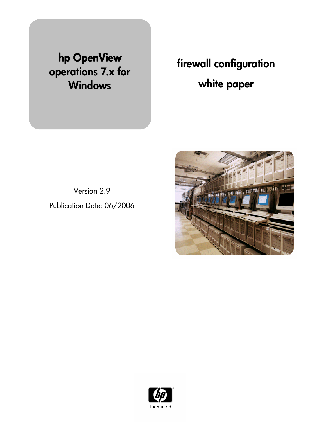**hp OpenView operations 7.x for Windows** 

# **firewall configuration white paper**





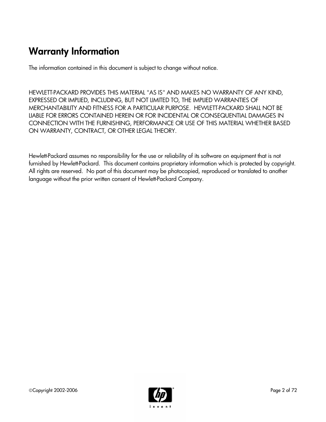## <span id="page-1-0"></span>**Warranty Information**

The information contained in this document is subject to change without notice.

HEWLETT-PACKARD PROVIDES THIS MATERIAL "AS IS" AND MAKES NO WARRANTY OF ANY KIND, EXPRESSED OR IMPLIED, INCLUDING, BUT NOT LIMITED TO, THE IMPLIED WARRANTIES OF MERCHANTABILITY AND FITNESS FOR A PARTICULAR PURPOSE. HEWLETT-PACKARD SHALL NOT BE LIABLE FOR ERRORS CONTAINED HEREIN OR FOR INCIDENTAL OR CONSEQUENTIAL DAMAGES IN CONNECTION WITH THE FURNISHING, PERFORMANCE OR USE OF THIS MATERIAL WHETHER BASED ON WARRANTY, CONTRACT, OR OTHER LEGAL THEORY.

Hewlett-Packard assumes no responsibility for the use or reliability of its software on equipment that is not furnished by Hewlett-Packard. This document contains proprietary information which is protected by copyright. All rights are reserved. No part of this document may be photocopied, reproduced or translated to another language without the prior written consent of Hewlett-Packard Company.

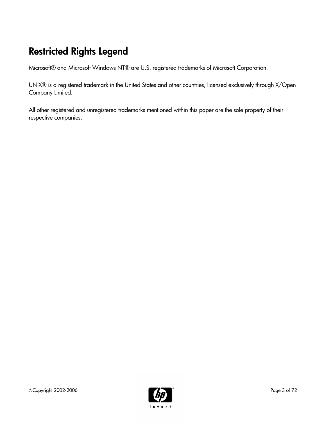## <span id="page-2-0"></span>**Restricted Rights Legend**

Microsoft® and Microsoft Windows NT® are U.S. registered trademarks of Microsoft Corporation.

UNIX® is a registered trademark in the United States and other countries, licensed exclusively through X/Open Company Limited.

All other registered and unregistered trademarks mentioned within this paper are the sole property of their respective companies.

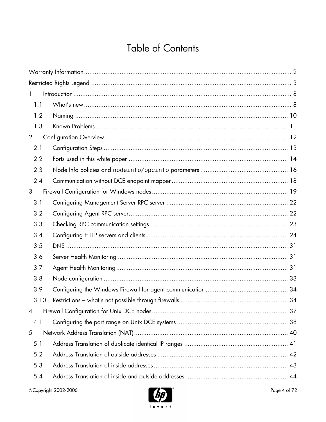## **Table of Contents**

| 1              |  |
|----------------|--|
| 1.1            |  |
| 1.2            |  |
| 1.3            |  |
| $\overline{2}$ |  |
| 2.1            |  |
| 2.2            |  |
| 2.3            |  |
| 2.4            |  |
| 3              |  |
| 3.1            |  |
| 3.2            |  |
| 3.3            |  |
| 3.4            |  |
| 3.5            |  |
| 3.6            |  |
| 3.7            |  |
| 3.8            |  |
| 3.9            |  |
| 3.10           |  |
| $\overline{4}$ |  |
| 4.1            |  |
| 5              |  |
| 5.1            |  |
| 5.2            |  |
| 5.3            |  |
| 5.4            |  |

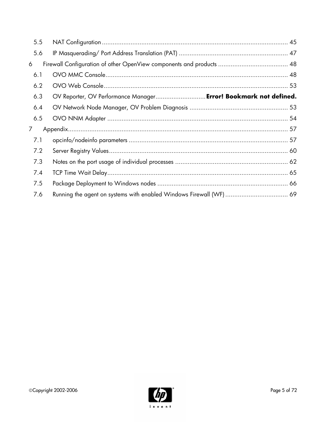| 5.5            |                                                                      |  |
|----------------|----------------------------------------------------------------------|--|
| 5.6            |                                                                      |  |
| 6              | Firewall Configuration of other OpenView components and products  48 |  |
| 6.1            |                                                                      |  |
| 6.2            |                                                                      |  |
| 6.3            | OV Reporter, OV Performance Manager Error! Bookmark not defined.     |  |
| 6.4            |                                                                      |  |
| 6.5            |                                                                      |  |
| $\overline{7}$ |                                                                      |  |
| 7.1            |                                                                      |  |
| 7.2            |                                                                      |  |
| 7.3            |                                                                      |  |
| 7.4            |                                                                      |  |
| 7.5            |                                                                      |  |
| 7.6            |                                                                      |  |

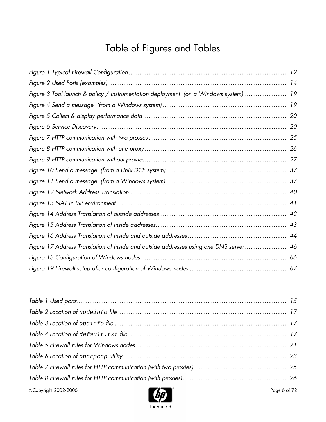## Table of Figures and Tables

| Figure 3 Tool launch & policy / instrumentation deployment (on a Windows system) 19   |  |
|---------------------------------------------------------------------------------------|--|
|                                                                                       |  |
|                                                                                       |  |
|                                                                                       |  |
|                                                                                       |  |
|                                                                                       |  |
|                                                                                       |  |
|                                                                                       |  |
|                                                                                       |  |
|                                                                                       |  |
|                                                                                       |  |
|                                                                                       |  |
|                                                                                       |  |
|                                                                                       |  |
| Figure 17 Address Translation of inside and outside addresses using one DNS server 46 |  |
|                                                                                       |  |
|                                                                                       |  |

©Copyright 2002-2006 Page 6 of 72

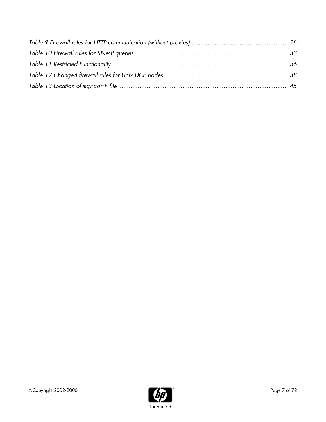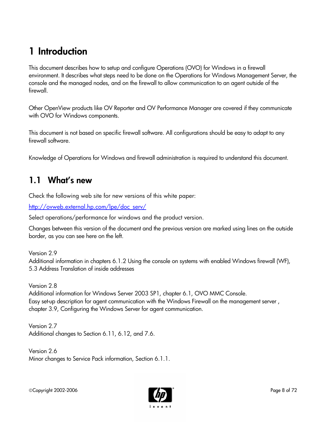## <span id="page-7-0"></span>**1 Introduction**

This document describes how to setup and configure Operations (OVO) for Windows in a firewall environment. It describes what steps need to be done on the Operations for Windows Management Server, the console and the managed nodes, and on the firewall to allow communication to an agent outside of the firewall.

Other OpenView products like OV Reporter and OV Performance Manager are covered if they communicate with OVO for Windows components.

This document is not based on specific firewall software. All configurations should be easy to adapt to any firewall software.

Knowledge of Operations for Windows and firewall administration is required to understand this document.

## **1.1 What's new**

Check the following web site for new versions of this white paper:

[http://ovweb.external.hp.com/lpe/doc\\_serv/](http://ovweb.external.hp.com/lpe/doc_serv/)

Select operations/performance for windows and the product version.

Changes between this version of the document and the previous version are marked using lines on the outside border, as you can see here on the left.

Version 2.9 Additional information in chapters [6.1.2](#page-48-0) [Using the console on systems with enabled Windows firewall \(WF\)](#page-48-0), [5.3](#page-42-1) [Address Translation of inside addresses](#page-42-1)

Version 2.8 Additional information for Windows Server 2003 SP1, chapter [6.1](#page-47-1), OVO MMC Console. Easy set-up description for agent communication with the Windows Firewall on the management server , chapter [3.9](#page-33-1), Configuring the Windows Server for agent communication.

Version 2.7 Additional changes to Section 6.11, 6.12, and 7.6.

Version 2.6 Minor changes to Service Pack information, Section 6.1.1.

©Copyright 2002-2006  $\bullet$  Page 8 of 72

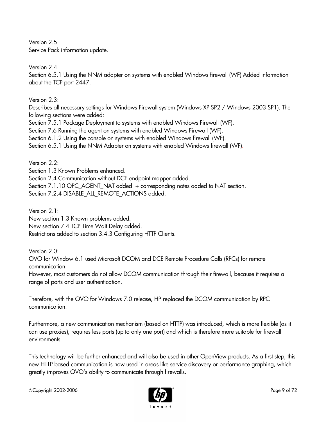Version 2.5 Service Pack information update.

Version 2.4

Section 6.5.1 Using the NNM adapter on systems with enabled Windows firewall (WF) Added information about the TCP port 2447.

Version 2.3:

Describes all necessary settings for Windows Firewall system (Windows XP SP2 / Windows 2003 SP1). The following sections were added:

Section [7.5.1](#page-66-1) [Package Deployment to systems with enabled Windows Firewall \(WF\).](#page-66-1)

Section [7.6](#page-68-1) [Running the agent on systems with enabled Windows Firewall \(WF\)](#page-68-1).

Section [6.1.2](#page-48-0) [Using the console on systems with enabled Windows firewall \(WF\)](#page-48-0).

Section [6.5.1](#page-54-0) [Using the NNM Adapter on systems with enabled Windows firewall \(WF\).](#page-54-0)

Version 2.2:

Section [1.3](#page-10-1) [Known Problems](#page-10-1) enhanced.

Section [2.4](#page-17-1) [Communication without DCE endpoint mapper](#page-17-1) added.

Section [7.1.10](#page-59-1) [OPC\\_AGENT\\_NAT](#page-59-1) added + corresponding notes added to NAT section.

Section [7.2.4](#page-60-0) [DISABLE\\_ALL\\_REMOTE\\_ACTIONS](#page-60-0) added.

Version 2.1:

New section [1.3](#page-10-1) Known problems added.

New section [7.4](#page-64-1) [TCP Time Wait Delay](#page-64-1) added.

Restrictions added to section [3.4.3](#page-28-0) [Configuring HTTP Clients](#page-28-0).

Version 2.0:

OVO for Window 6.1 used Microsoft DCOM and DCE Remote Procedure Calls (RPCs) for remote communication.

However, most customers do not allow DCOM communication through their firewall, because it requires a range of ports and user authentication.

Therefore, with the OVO for Windows 7.0 release, HP replaced the DCOM communication by RPC communication.

Furthermore, a new communication mechanism (based on HTTP) was introduced, which is more flexible (as it can use proxies), requires less ports (up to only one port) and which is therefore more suitable for firewall environments.

This technology will be further enhanced and will also be used in other OpenView products. As a first step, this new HTTP based communication is now used in areas like service discovery or performance graphing, which greatly improves OVO's ability to communicate through firewalls.

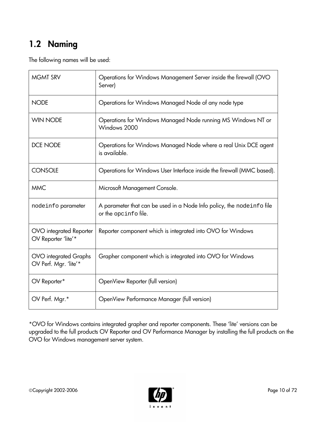## <span id="page-9-0"></span>**1.2 Naming**

The following names will be used:

| <b>MGMT SRV</b>                                | Operations for Windows Management Server inside the firewall (OVO<br>Server)                  |
|------------------------------------------------|-----------------------------------------------------------------------------------------------|
| <b>NODE</b>                                    | Operations for Windows Managed Node of any node type                                          |
| <b>WIN NODE</b>                                | Operations for Windows Managed Node running MS Windows NT or<br>Windows 2000                  |
| <b>DCE NODE</b>                                | Operations for Windows Managed Node where a real Unix DCE agent<br>is available.              |
| <b>CONSOLE</b>                                 | Operations for Windows User Interface inside the firewall (MMC based).                        |
| <b>MMC</b>                                     | Microsoft Management Console.                                                                 |
| nodeinfo parameter                             | A parameter that can be used in a Node Info policy, the nodeinfo file<br>or the opcinfo file. |
| OVO integrated Reporter<br>OV Reporter 'lite'* | Reporter component which is integrated into OVO for Windows                                   |
| OVO integrated Graphs<br>OV Perf. Mgr. 'lite'* | Grapher component which is integrated into OVO for Windows                                    |
| OV Reporter*                                   | OpenView Reporter (full version)                                                              |
| OV Perf. Mgr.*                                 | OpenView Performance Manager (full version)                                                   |

\*OVO for Windows contains integrated grapher and reporter components. These 'lite' versions can be upgraded to the full products OV Reporter and OV Performance Manager by installing the full products on the OVO for Windows management server system.

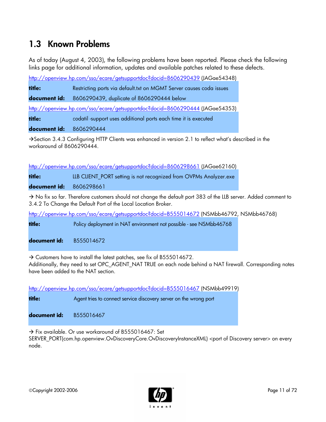## <span id="page-10-1"></span><span id="page-10-0"></span>**1.3 Known Problems**

As of today (August 4, 2003), the following problems have been reported. Please check the following links page for additional information, updates and available patches related to these defects.

<http://openview.hp.com/sso/ecare/getsupportdoc?docid=8606290439> (JAGae54348)

**title:** Restricting ports via default.txt on MGMT Server causes coda issues

**document id:** 8606290439, duplicate of 8606290444 below

<http://openview.hp.com/sso/ecare/getsupportdoc?docid=8606290444> (JAGae54353)

**title:** codatil support uses additional ports each time it is executed

**document id:** 8606290444

→ Section [3.4.3](#page-28-0) [Configuring HTTP Clients](#page-28-0) was enhanced in version 2.1 to reflect what's described in the workaround of 8606290444.

|  | http://openview.hp.com/sso/ecare/getsupportdoc?docid=8606298661 (JAGae62160) |  |
|--|------------------------------------------------------------------------------|--|
|  |                                                                              |  |

| title:                  | LLB CLIENT PORT setting is not recognized from OVPMs Analyzer.exe |
|-------------------------|-------------------------------------------------------------------|
| document id: 8606298661 |                                                                   |

 $\rightarrow$  No fix so far. Therefore customers should not change the default port 383 of the LLB server. Added comment to [3.4.2](#page-28-1) [To Change the Default Port of the Local Location Broker.](#page-28-1)

<http://openview.hp.com/sso/ecare/getsupportdoc?docid=B555014672>(NSMbb46792, NSMbb46768)

**title:** Policy deployment in NAT environment not possible - see NSMbb46768

**document id:** B555014672

 $\rightarrow$  Customers have to install the latest patches, see fix of B555014672.

Additionally, they need to set OPC AGENT\_NAT TRUE on each node behind a NAT firewall. Corresponding notes have been added to the NAT section.

<http://openview.hp.com/sso/ecare/getsupportdoc?docid=B555016467>(NSMbb49919)

**title:** Agent tries to connect service discovery server on the wrong port

**document id:** B555016467

 $\rightarrow$  Fix available. Or use workaround of B555016467: Set

SERVER\_PORT(com.hp.openview.OvDiscoveryCore.OvDiscoveryInstanceXML) <port of Discovery server> on every node.

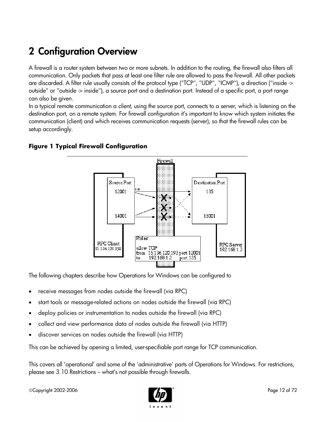## <span id="page-11-0"></span>**2 Configuration Overview**

A firewall is a router system between two or more subnets. In addition to the routing, the firewall also filters all communication. Only packets that pass at least one filter rule are allowed to pass the firewall. All other packets are discarded. A filter rule usually consists of the protocol type ("TCP", "UDP", "ICMP"), a direction ("inside -> outside" or "outside -> inside"), a source port and a destination port. Instead of a specific port, a port range can also be given.

In a typical remote communication a *client*, using the source port, connects to a *server*, which is listening on the destination port, on a remote system. For firewall configuration it's important to know which system initiates the communication (client) and which receives communication requests (server), so that the firewall rules can be setup accordingly.



#### **Figure 1 Typical Firewall Configuration**

The following chapters describe how Operations for Windows can be configured to

- receive messages from nodes outside the firewall (via RPC)
- start tools or message-related actions on nodes outside the firewall (via RPC)
- deploy policies or instrumentation to nodes outside the firewall (via RPC)
- collect and view performance data of nodes outside the firewall (via HTTP)
- discover services on nodes outside the firewall (via HTTP)

This can be achieved by opening a limited, user-specifiable port range for TCP communication.

This covers all 'operational' and some of the 'administrative' parts of Operations for Windows. For restrictions, please see [3.10](#page-33-2) [Restrictions – what's not possible through firewalls.](#page-33-2)

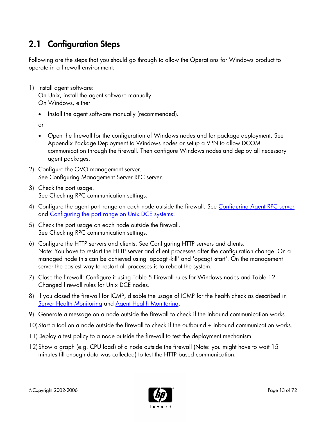## <span id="page-12-0"></span>**2.1 Configuration Steps**

Following are the steps that you should go through to allow the Operations for Windows product to operate in a firewall environment:

- 1) Install agent software: On Unix, install the agent software manually. On Windows, either
	- Install the agent software manually (recommended).

or

- Open the firewall for the configuration of Windows nodes and for package deployment. See Appendix [Package Deployment to Windows nodes](#page-65-1) or setup a VPN to allow DCOM communication through the firewall. Then configure Windows nodes and deploy all necessary agent packages.
- 2) Configure the OVO management server. See [Configuring Management Server RPC server.](#page-21-1)
- 3) Check the port usage. See [Checking RPC communication settings.](#page-22-1)
- 4) Configure the agent port range on each node outside the firewall. See [Configuring Agent RPC server](#page-21-0) and [Configuring the port range on Unix DCE systems](#page-37-0).
- 5) Check the port usage on each node outside the firewall. See [Checking RPC communication settings.](#page-22-1)
- 6) Configure the HTTP servers and clients. See Configuring HTTP [servers and clients](#page-23-1). Note: You have to restart the HTTP server and client processes after the configuration change. On a managed node this can be achieved using 'opcagt -kill' and 'opcagt -start'. On the management server the easiest way to restart all processes is to reboot the system.
- 7) Close the firewall: Configure it using [Table 5 Firewall rules for Windows nodes](#page-20-1) and [Table 12](#page-37-1)  [Changed firewall rules for Unix DCE nodes.](#page-37-1)
- 8) If you closed the firewall for ICMP, disable the usage of ICMP for the health check as described in **[Server Health Monitoring](#page-30-0) and [Agent Health Monitoring](#page-30-0).**
- 9) Generate a message on a node outside the firewall to check if the inbound communication works.
- 10) Start a tool on a node outside the firewall to check if the outbound + inbound communication works.
- 11)Deploy a test policy to a node outside the firewall to test the deployment mechanism.
- 12)Show a graph (e.g. CPU load) of a node outside the firewall (Note: you might have to wait 15 minutes till enough data was collected) to test the HTTP based communication.

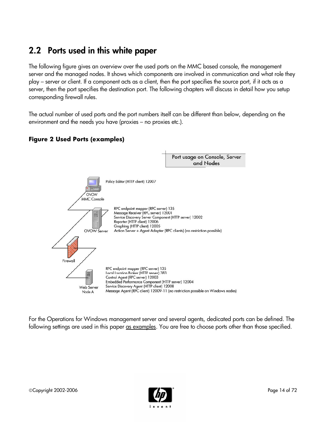## <span id="page-13-0"></span>**2.2 Ports used in this white paper**

The following figure gives an overview over the used ports on the MMC based console, the management server and the managed nodes. It shows which components are involved in communication and what role they play – server or client. If a component acts as a client, then the port specifies the source port, if it acts as a server, then the port specifies the destination port. The following chapters will discuss in detail how you setup corresponding firewall rules.

The actual number of used ports and the port numbers itself can be different than below, depending on the environment and the needs you have (proxies – no proxies etc.).

#### **Figure 2 Used Ports (examples)**



For the Operations for Windows management server and several agents, dedicated ports can be defined. The following settings are used in this paper <u>as examples</u>. You are free to choose ports other than those specified.

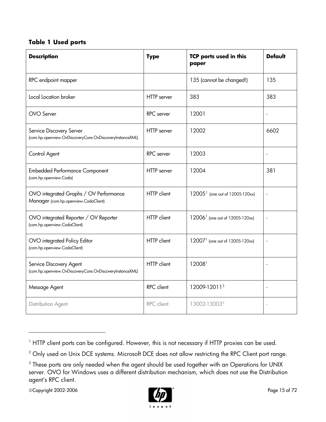#### <span id="page-14-0"></span>**Table 1 Used ports**

| <b>Description</b>                                                                   | <b>Type</b>        | TCP ports used in this<br>paper             | <b>Default</b> |
|--------------------------------------------------------------------------------------|--------------------|---------------------------------------------|----------------|
| RPC endpoint mapper                                                                  |                    | 135 (cannot be changed!)                    | 135            |
| Local Location broker                                                                | HTTP server        | 383                                         | 383            |
| <b>OVO</b> Server                                                                    | RPC server         | 12001                                       | $\overline{a}$ |
| Service Discovery Server<br>(com.hp.openview.OvDiscoveryCore.OvDiscoveryInstanceXML) | HTTP server        | 12002                                       | 6602           |
| Control Agent                                                                        | <b>RPC</b> server  | 12003                                       | $\overline{a}$ |
| <b>Embedded Performance Component</b><br>(com.hp.openview.Coda)                      | HTTP server        | 12004                                       | 381            |
| OVO integrated Graphs / OV Performance<br>Manager (com.hp.openview.CodaClient)       | HTTP client        | 12005 <sup>1</sup> (one out of 12005-120xx) | $\overline{a}$ |
| OVO integrated Reporter / OV Reporter<br>(com.hp.openview.CodaClient)                | <b>HTTP</b> client | $120061$ (one out of 12005-120xx)           | $\overline{a}$ |
| OVO integrated Policy Editor<br>(com.hp.openview.CodaClient)                         | <b>HTTP</b> client | 12007 <sup>1</sup> (one out of 12005-120xx) | $\blacksquare$ |
| Service Discovery Agent<br>(com.hp.openview.OvDiscoveryCore.OvDiscoveryInstanceXML)  | <b>HTTP</b> client | 12008                                       | $\overline{a}$ |
| Message Agent                                                                        | RPC client         | 12009-12011 <sup>2</sup>                    | $\overline{a}$ |
| Distribution Agent                                                                   | RPC client         | 13002-130033                                |                |

©Copyright 2002-2006 Page 15 of 72



<span id="page-14-1"></span><sup>1</sup> HTTP client ports can be configured. However, this is not necessary if HTTP proxies can be used.

<span id="page-14-2"></span> $^{\rm 2}$  Only used on Unix DCE systems. Microsoft DCE does not allow restricting the RPC Client port range.

<span id="page-14-3"></span> $^{\rm 3}$  These ports are only needed when the agent should be used together with an Operations for UNIX server. OVO for Windows uses a different distribution mechanism, which does not use the Distribution agent's RPC client.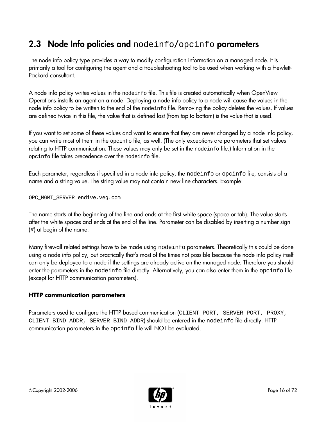## <span id="page-15-0"></span>**2.3 Node Info policies and** nodeinfo**/**opcinfo **parameters**

The node info policy type provides a way to modify configuration information on a managed node. It is primarily a tool for configuring the agent and a troubleshooting tool to be used when working with a Hewlett-Packard consultant.

A node info policy writes values in the nodeinfo file. This file is created automatically when OpenView Operations installs an agent on a node. Deploying a node info policy to a node will cause the values in the node info policy to be written to the end of the nodeinfo file. Removing the policy deletes the values. If values are defined twice in this file, the value that is defined last (from top to bottom) is the value that is used.

If you want to set some of these values and want to ensure that they are never changed by a node info policy, you can write most of them in the opcinfo file, as well. (The only exceptions are parameters that set values relating to HTTP communication. These values may only be set in the nodeinfo file.) Information in the opcinfo file takes precedence over the nodeinfo file.

Each parameter, regardless if specified in a node info policy, the nodeinfo or opcinfo file, consists of a name and a string value. The string value may not contain new line characters. Example:

OPC\_MGMT\_SERVER endive.veg.com

The name starts at the beginning of the line and ends at the first white space (space or tab). The value starts after the white spaces and ends at the end of the line. Parameter can be disabled by inserting a number sign (#) at begin of the name.

Many firewall related settings have to be made using nodeinfo parameters. Theoretically this could be done using a node info policy, but practically that's most of the times not possible because the node info policy itself can only be deployed to a node if the settings are already active on the managed node. Therefore you should enter the parameters in the nodeinfo file directly. Alternatively, you can also enter them in the opcinfo file (except for HTTP communication parameters).

#### **HTTP communication parameters**

Parameters used to configure the HTTP based communication (CLIENT\_PORT, SERVER\_PORT, PROXY, CLIENT\_BIND\_ADDR, SERVER\_BIND\_ADDR) should be entered in the nodeinfo file directly. HTTP communication parameters in the opcinfo file will NOT be evaluated.

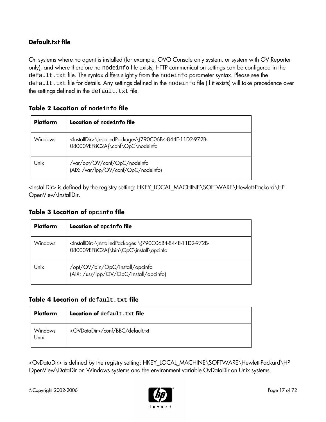#### <span id="page-16-0"></span>**Default.txt file**

On systems where no agent is installed (for example, OVO Console only system, or system with OV Reporter only), and where therefore no nodeinfo file exists, HTTP communication settings can be configured in the default.txt file. The syntax differs slightly from the nodeinfo parameter syntax. Please see the default.txt file for details. Any settings defined in the nodeinfo file (if it exists) will take precedence over the settings defined in the default.txt file.

| MMIG & EVGMIIVII VI IIOGEIIILO IIIG |                                                                       |  |
|-------------------------------------|-----------------------------------------------------------------------|--|
| Platform                            | $^\text{!}$ Location of $_\text{nodeinfo}$ file                       |  |
| Windows                             | <installdir>\InstalledPackages\{790C06B4-844E-11D2-972B-</installdir> |  |

080009EF8C2A}\conf\OpC\nodeinfo

(AIX: /var/lpp/OV/conf/OpC/nodeinfo)

#### **Table 2 Location of nodeinfo file**

Unix /var/opt/OV/conf/OpC/nodeinfo

<InstallDir> is defined by the registry setting: HKEY\_LOCAL\_MACHINE\SOFTWARE\Hewlett-Packard\HP OpenView\InstallDir.

#### **Table 3 Location of opcinfo file**

| Platform | Location of opcinfo file                                                                                         |
|----------|------------------------------------------------------------------------------------------------------------------|
| Windows  | <installdir>\InstalledPackages \{790C06B4-844E-11D2-972B-<br/>080009EF8C2A}\bin\OpC\install\opcinfo</installdir> |
| Unix     | /opt/OV/bin/OpC/install/opcinfo<br>(AIX: /usr/lpp/OV/OpC/install/opcinfo)                                        |

#### **Table 4 Location of default.txt file**

| Platform        | Location of default.txt file                 |
|-----------------|----------------------------------------------|
| Windows<br>Unix | <ovdatadir>/conf/BBC/default.txt</ovdatadir> |

<OvDataDir> is defined by the registry setting: HKEY\_LOCAL\_MACHINE\SOFTWARE\Hewlett-Packard\HP OpenView\DataDir on Windows systems and the environment variable OvDataDir on Unix systems.

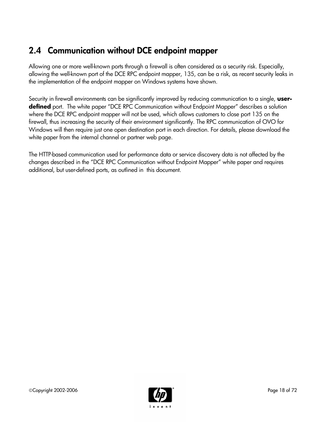## <span id="page-17-1"></span><span id="page-17-0"></span>**2.4 Communication without DCE endpoint mapper**

Allowing one or more well-known ports through a firewall is often considered as a security risk. Especially, allowing the well-known port of the DCE RPC endpoint mapper, 135, can be a risk, as recent security leaks in the implementation of the endpoint mapper on Windows systems have shown.

Security in firewall environments can be significantly improved by reducing communication to a single, **userdefined** port. The white paper "DCE RPC Communication without Endpoint Mapper" describes a solution where the DCE RPC endpoint mapper will not be used, which allows customers to close port 135 on the firewall, thus increasing the security of their environment significantly. The RPC communication of OVO for Windows will then require just one open destination port in each direction. For details, please download the white paper from the internal channel or partner web page.

The HTTP-based communication used for performance data or service discovery data is not affected by the changes described in the "DCE RPC Communication without Endpoint Mapper" white paper and requires additional, but user-defined ports, as outlined in this document.

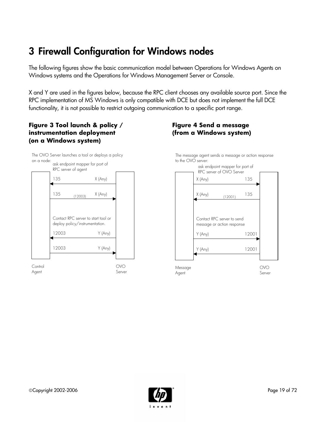## <span id="page-18-0"></span>**3 Firewall Configuration for Windows nodes**

The following figures show the basic communication model between Operations for Windows Agents on Windows systems and the Operations for Windows Management Server or Console.

X and Y are used in the figures below, because the RPC client chooses any available source port. Since the RPC implementation of MS Windows is only compatible with DCE but does not implement the full DCE functionality, it is not possible to restrict outgoing communication to a specific port range.

#### **Figure 3 Tool launch & policy / instrumentation deployment (on a Windows system)**



#### **Figure 4 Send a message (from a Windows system)**

The message agent sends a message or action response to the OVO server:



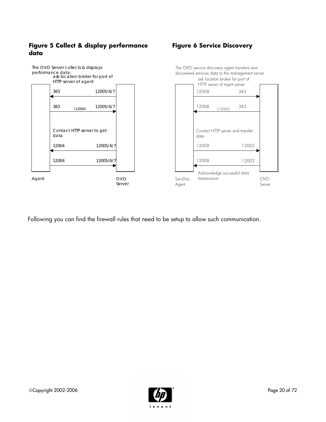

<span id="page-19-0"></span>**Figure 5 Collect & display performance Figure 6 Service Discovery data** 

Following you can find the firewall rules that need to be setup to allow such communication.

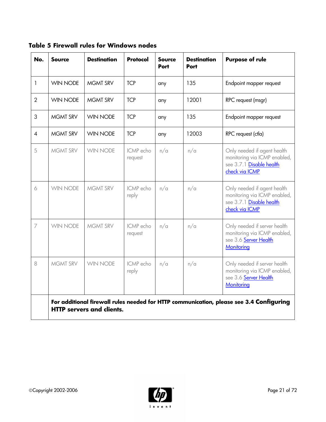| No.            | <b>Source</b>                                                                                                               | <b>Destination</b> | Protocol             | <b>Source</b><br>Port | <b>Destination</b><br>Port | <b>Purpose of rule</b>                                                                                    |  |
|----------------|-----------------------------------------------------------------------------------------------------------------------------|--------------------|----------------------|-----------------------|----------------------------|-----------------------------------------------------------------------------------------------------------|--|
| $\mathbf{1}$   | <b>WIN NODE</b>                                                                                                             | <b>MGMT SRV</b>    | <b>TCP</b>           | any                   | 135                        | Endpoint mapper request                                                                                   |  |
| $\overline{2}$ | <b>WIN NODE</b>                                                                                                             | <b>MGMT SRV</b>    | <b>TCP</b>           | any                   | 12001                      | RPC request (msgr)                                                                                        |  |
| 3              | <b>MGMT SRV</b>                                                                                                             | <b>WIN NODE</b>    | <b>TCP</b>           | any                   | 135                        | Endpoint mapper request                                                                                   |  |
| 4              | <b>MGMT SRV</b>                                                                                                             | <b>WIN NODE</b>    | <b>TCP</b>           | any                   | 12003                      | RPC request (ctla)                                                                                        |  |
| 5              | <b>MGMT SRV</b>                                                                                                             | <b>WIN NODE</b>    | ICMP echo<br>request | n/a                   | n/a                        | Only needed if agent health<br>monitoring via ICMP enabled,<br>see 3.7.1 Disable health<br>check via ICMP |  |
| 6              | <b>WIN NODE</b>                                                                                                             | <b>MGMT SRV</b>    | ICMP echo<br>reply   | n/a                   | n/a                        | Only needed if agent health<br>monitoring via ICMP enabled,<br>see 3.7.1 Disable health<br>check via ICMP |  |
| $\overline{7}$ | <b>WIN NODE</b>                                                                                                             | <b>MGMT SRV</b>    | ICMP echo<br>request | n/a                   | n/a                        | Only needed if server health<br>monitoring via ICMP enabled,<br>see 3.6 Server Health<br>Monitoring       |  |
| 8              | <b>MGMT SRV</b>                                                                                                             | <b>WIN NODE</b>    | ICMP echo<br>reply   | n/a                   | n/a                        | Only needed if server health<br>monitoring via ICMP enabled,<br>see 3.6 Server Health<br>Monitoring       |  |
|                | For additional firewall rules needed for HTTP communication, please see 3.4 Configuring<br><b>HTTP</b> servers and clients. |                    |                      |                       |                            |                                                                                                           |  |

<span id="page-20-1"></span><span id="page-20-0"></span>**Table 5 Firewall rules for Windows nodes**

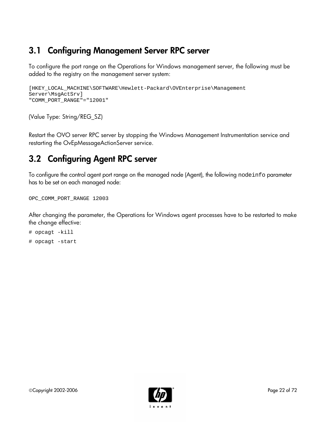## <span id="page-21-1"></span><span id="page-21-0"></span>**3.1 Configuring Management Server RPC server**

To configure the port range on the Operations for Windows management server, the following must be added to the registry on the management server system:

```
[HKEY_LOCAL_MACHINE\SOFTWARE\Hewlett-Packard\OVEnterprise\Management 
Server\MsgActSrv] 
"COMM_PORT_RANGE"="12001"
```
(Value Type: String/REG\_SZ)

Restart the OVO server RPC server by stopping the Windows Management Instrumentation service and restarting the OvEpMessageActionServer service.

## **3.2 Configuring Agent RPC server**

To configure the control agent port range on the managed node (Agent), the following nodeinfo parameter has to be set on each managed node:

OPC\_COMM\_PORT\_RANGE 12003

After changing the parameter, the Operations for Windows agent processes have to be restarted to make the change effective:

```
# opcagt -kill 
# opcagt -start
```
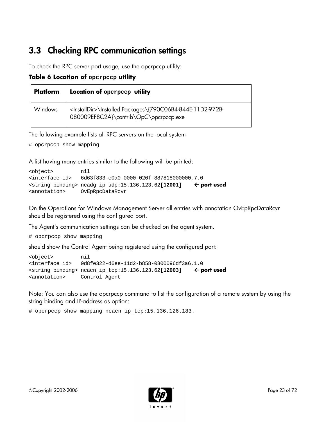## <span id="page-22-1"></span><span id="page-22-0"></span>**3.3 Checking RPC communication settings**

To check the RPC server port usage, use the opcrpccp utility:

| Platform       | Location of operpeep utility                                                                                      |  |  |
|----------------|-------------------------------------------------------------------------------------------------------------------|--|--|
| <b>Windows</b> | <installdir>\Installed Packages\{790C06B4-844E-11D2-972B-<br/>080009EF8C2A}\contrib\OpC\opcrpccp.exe</installdir> |  |  |

**Table 6 Location of opcrpccp utility** 

The following example lists all RPC servers on the local system

```
# opcrpccp show mapping
```
A list having many entries similar to the following will be printed:

```
<object> nil
<interface id> 6d63f833-c0a0-0000-020f-887818000000,7.0 
<string binding> ncadg_ip_udp:15.136.123.62[12001] Å port used
<annotation> OvEpRpcDataRcvr
```
On the Operations for Windows Management Server all entries with annotation OvEpRpcDataRcvr should be registered using the configured port.

The Agent's communication settings can be checked on the agent system.

# opcrpccp show mapping

should show the Control Agent being registered using the configured port:

```
<object> nil
<interface id> 0d8fe322-d6ee-11d2-b858-0800096df3a6,1.0 
<string binding> ncacn_ip_tcp:15.136.123.62[12003] Å port used
<annotation> Control Agent
```
Note: You can also use the opcrpccp command to list the configuration of a remote system by using the string binding and IP-address as option:

# opcrpccp show mapping ncacn\_ip\_tcp:15.136.126.183.

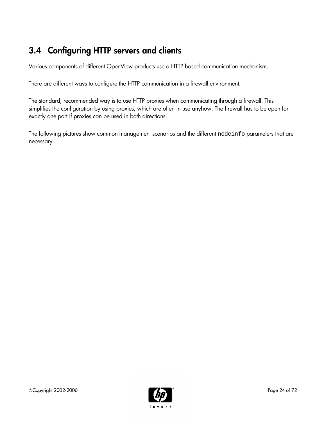## <span id="page-23-1"></span><span id="page-23-0"></span>**3.4 Configuring HTTP servers and clients**

Various components of different OpenView products use a HTTP based communication mechanism.

There are different ways to configure the HTTP communication in a firewall environment.

The standard, recommended way is to use HTTP proxies when communicating through a firewall. This simplifies the configuration by using proxies, which are often in use anyhow. The firewall has to be open for exactly one port if proxies can be used in both directions.

The following pictures show common management scenarios and the different nodeinfo parameters that are necessary.

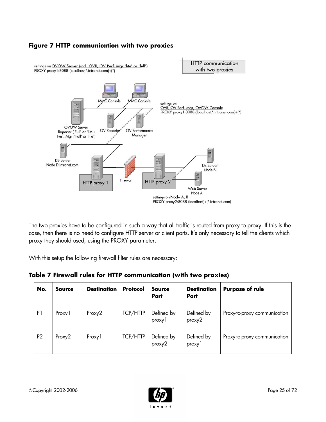

#### <span id="page-24-0"></span>**Figure 7 HTTP communication with two proxies**

The two proxies have to be configured in such a way that all traffic is routed from proxy to proxy. If this is the case, then there is no need to configure HTTP server or client ports. It's only necessary to tell the clients which proxy they should used, using the PROXY parameter.

With this setup the following firewall filter rules are necessary:

|  |  |  |  | Table 7 Firewall rules for HTTP communication (with two proxies) |  |  |  |
|--|--|--|--|------------------------------------------------------------------|--|--|--|
|--|--|--|--|------------------------------------------------------------------|--|--|--|

| No.            | <b>Source</b>      | <b>Destination</b> | Protocol | <b>Source</b><br>Port | <b>Destination</b><br>Port | <b>Purpose of rule</b>       |
|----------------|--------------------|--------------------|----------|-----------------------|----------------------------|------------------------------|
| P <sub>1</sub> | Proxy <sub>1</sub> | Proxy2             | TCP/HTTP | Defined by<br>proxy 1 | Defined by<br>proxy2       | Proxy-to-proxy communication |
| P <sub>2</sub> | Proxy2             | Proxy <sub>1</sub> | TCP/HTTP | Defined by<br>proxy2  | Defined by<br>proxy 1      | Proxy-to-proxy communication |

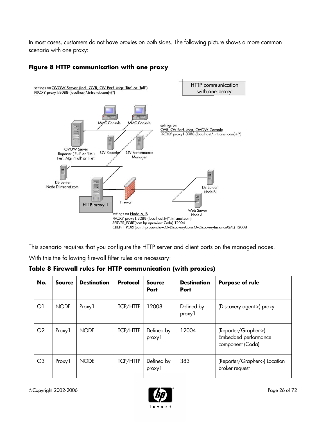<span id="page-25-0"></span>In most cases, customers do not have proxies on both sides. The following picture shows a more common scenario with one proxy:



#### **Figure 8 HTTP communication with one proxy**

This scenario requires that you configure the HTTP server and client ports on the managed nodes.

With this the following firewall filter rules are necessary:

<span id="page-25-1"></span>**Table 8 Firewall rules for HTTP communication (with proxies)**

| No.            | <b>Source</b>      | <b>Destination</b> | Protocol        | <b>Source</b><br>Port | <b>Destination</b><br>Port | <b>Purpose of rule</b>                                           |
|----------------|--------------------|--------------------|-----------------|-----------------------|----------------------------|------------------------------------------------------------------|
| O <sub>1</sub> | <b>NODE</b>        | Proxy <sub>1</sub> | <b>TCP/HTTP</b> | 12008                 | Defined by<br>proxy 1      | (Discovery agent->) proxy                                        |
| O <sub>2</sub> | Proxy <sub>1</sub> | <b>NODE</b>        | TCP/HTTP        | Defined by<br>proxy 1 | 12004                      | (Reporter/Grapher->)<br>Embedded performance<br>component (Coda) |
| O <sub>3</sub> | Proxy <sub>1</sub> | <b>NODE</b>        | <b>TCP/HTTP</b> | Defined by<br>proxy 1 | 383                        | (Reporter/Grapher->) Location<br>broker request                  |

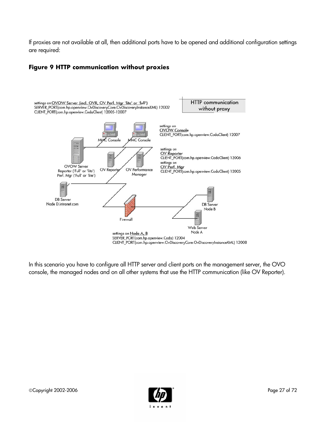<span id="page-26-0"></span>If proxies are not available at all, then additional ports have to be opened and additional configuration settings are required:

#### **Figure 9 HTTP communication without proxies**



In this scenario you have to configure all HTTP server and client ports on the management server, the OVO console, the managed nodes and on all other systems that use the HTTP communication (like OV Reporter).

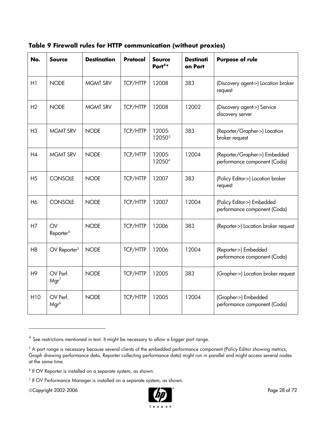| No.            | <b>Source</b>                | <b>Destination</b> | Protocol | <b>Source</b><br>Port <sup>4*</sup> | <b>Destinati</b><br>on Port | <b>Purpose of rule</b>                                        |
|----------------|------------------------------|--------------------|----------|-------------------------------------|-----------------------------|---------------------------------------------------------------|
| H1             | <b>NODE</b>                  | <b>MGMT SRV</b>    | TCP/HTTP | 12008                               | 383                         | (Discovery agent->) Location broker<br>request                |
| H <sub>2</sub> | <b>NODE</b>                  | <b>MGMT SRV</b>    | TCP/HTTP | 12008                               | 12002                       | (Discovery agent->) Service<br>discovery server               |
| H <sub>3</sub> | <b>MGMT SRV</b>              | <b>NODE</b>        | TCP/HTTP | 12005-<br>120505                    | 383                         | (Reporter/Grapher->) Location<br>broker request               |
| H4             | <b>MGMT SRV</b>              | <b>NODE</b>        | TCP/HTTP | 12005-<br>120504                    | 12004                       | (Reporter/Grapher->) Embedded<br>performance component (Coda) |
| H <sub>5</sub> | <b>CONSOLE</b>               | <b>NODE</b>        | TCP/HTTP | 12007                               | 383                         | (Policy Editor->) Location broker<br>request                  |
| H6             | <b>CONSOLE</b>               | <b>NODE</b>        | TCP/HTTP | 12007                               | 12004                       | (Policy Editor->) Embedded<br>performance component (Coda)    |
| H7             | OV<br>Reporter <sup>6</sup>  | <b>NODE</b>        | TCP/HTTP | 12006                               | 383                         | (Reporter->) Location broker request                          |
| H <sub>8</sub> | OV Reporter <sup>5</sup>     | <b>NODE</b>        | TCP/HTTP | 12006                               | 12004                       | (Reporter->) Embedded<br>performance component (Coda)         |
| H <sub>9</sub> | OV Perf.<br>$Mgr^7$          | <b>NODE</b>        | TCP/HTTP | 12005                               | 383                         | (Grapher->) Location broker request                           |
| H10            | OV Perf.<br>Mgr <sup>6</sup> | <b>NODE</b>        | TCP/HTTP | 12005                               | 12004                       | (Grapher->) Embedded<br>performance component (Coda)          |

<span id="page-27-0"></span>**Table 9 Firewall rules for HTTP communication (without proxies)**

©Copyright 2002-2006 Page 28 of 72

l



<span id="page-27-1"></span><sup>4</sup> See restrictions mentioned in text. It might be necessary to allow a bigger port range.

<span id="page-27-2"></span> $^5$  A port range is necessary because several clients of the embedded performance component (Policy Editor showing metrics, Graph drawing performance data, Reporter collecting performance data) might run in parallel and might access several nodes at the same time.

<span id="page-27-3"></span><sup>6</sup> If OV Reporter is installed on a separate system, as shown.

<span id="page-27-4"></span> $^7$  If OV Performance Manager is installed on a separate system, as shown.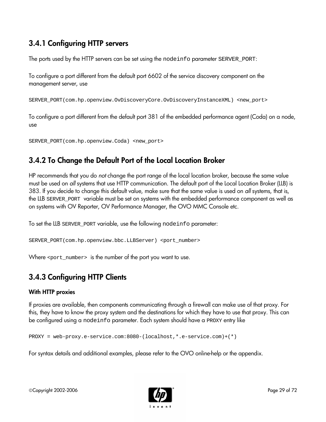## **3.4.1 Configuring HTTP servers**

The ports used by the HTTP servers can be set using the nodeinfo parameter SERVER\_PORT:

To configure a port different from the default port 6602 of the service discovery component on the management server, use

SERVER PORT(com.hp.openview.OvDiscoveryCore.OvDiscoveryInstanceXML) <new port>

To configure a port different from the default port 381 of the embedded performance agent (Coda) on a node, use

SERVER\_PORT(com.hp.openview.Coda) <new\_port>

### <span id="page-28-1"></span>**3.4.2 To Change the Default Port of the Local Location Broker**

HP recommends that you do *not* change the port range of the local location broker, because the same value must be used on *all* systems that use HTTP communication. The default port of the Local Location Broker (LLB) is 383. If you decide to change this default value, make sure that the same value is used on *all* systems, that is, the LLB SERVER\_PORT variable must be set on systems with the embedded performance component as well as on systems with OV Reporter, OV Performance Manager, the OVO MMC Console etc.

To set the LLB SERVER\_PORT variable, use the following nodeinfo parameter:

SERVER\_PORT(com.hp.openview.bbc.LLBServer) <port\_number>

Where <port\_number> is the number of the port you want to use.

#### <span id="page-28-0"></span>**3.4.3 Configuring HTTP Clients**

#### **With HTTP proxies**

If proxies are available, then components communicating through a firewall can make use of that proxy. For this, they have to know the proxy system and the destinations for which they have to use that proxy. This can be configured using a nodeinfo parameter. Each system should have a PROXY entry like

```
PROXY = web-proxy.e-service.com:8080-(localhost,*.e-service.com)+(*)
```
For syntax details and additional examples, please refer to the OVO online-help or the appendix.

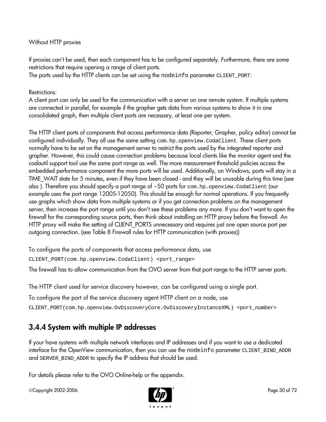#### Without HTTP proxies

If proxies can't be used, then each component has to be configured separately. Furthermore, there are some restrictions that require opening a range of client ports.

The ports used by the HTTP clients can be set using the nodeinfo parameter CLIENT\_PORT:

#### Restrictions:

A client port can only be used for the communication with a server on one remote system. If multiple systems are connected in parallel, for example if the grapher gets data from various systems to show it in one consolidated graph, then multiple client ports are necessary, at least one per system.

The HTTP client ports of components that access performance data (Reporter, Grapher, policy editor) cannot be configured individually. They all use the same setting com.hp.openview.CodaClient. These client ports normally have to be set on the management server to restrict the ports used by the integrated reporter and grapher. However, this could cause connection problems because local clients like the monitor agent and the codautil support tool use the same port range as well. The more measurement threshold policies access the embedded performance component the more ports will be used. Additionally, on Windows, ports will stay in a TIME\_WAIT state for 5 minutes, even if they have been closed - and they will be unusable during this time (see also ). Therefore you should specify a port range of  $\sim$ 50 ports for com. hp.openview. CodaClient (our example uses the port range 12005-12050). This should be enough for normal operations. If you frequently use graphs which show data from multiple systems or if you get connection problems on the management server, then increase the port range until you don't see these problems any more. If you don't want to open the firewall for the corresponding source ports, then think about installing an HTTP proxy before the firewall. An HTTP proxy will make the setting of CLIENT\_PORTS unnecessary and requires just one open source port per outgoing connection. (see [Table 8 Firewall rules for HTTP communication \(with proxies\)\)](#page-25-1)

To configure the ports of components that access performance data, use

CLIENT\_PORT(com.hp.openview.CodaClient) <port\_range>

The firewall has to allow communication from the OVO server from that port range to the HTTP server ports.

The HTTP client used for service discovery however, can be configured using a single port. To configure the port of the service discovery agent HTTP client on a node, use CLIENT\_PORT(com.hp.openview.OvDiscoveryCore.OvDiscoveryInstanceXML) <port\_number>

### **3.4.4 System with multiple IP addresses**

If your have systems with multiple network interfaces and IP addresses and if you want to use a dedicated interface for the OpenView communication, then you can use the nodeinfo parameter CLIENT\_BIND\_ADDR and SERVER\_BIND\_ADDR to specify the IP address that should be used.

For details please refer to the OVO Online-help or the appendix.

©Copyright 2002-2006 Page 30 of 72

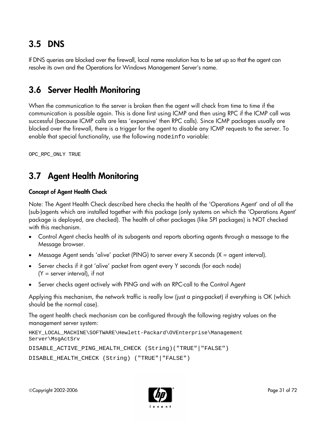## <span id="page-30-0"></span>**3.5 DNS**

If DNS queries are blocked over the firewall, local name resolution has to be set up so that the agent can resolve its own and the Operations for Windows Management Server's name.

## <span id="page-30-1"></span>**3.6 Server Health Monitoring**

When the communication to the server is broken then the agent will check from time to time if the communication is possible again. This is done first using ICMP and then using RPC if the ICMP call was successful (because ICMP calls are less 'expensive' then RPC calls). Since ICMP packages usually are blocked over the firewall, there is a trigger for the agent to disable any ICMP requests to the server. To enable that special functionality, use the following nodeinfo variable:

OPC\_RPC\_ONLY TRUE

## **3.7 Agent Health Monitoring**

#### **Concept of Agent Health Check**

Note: The Agent Health Check described here checks the health of the 'Operations Agent' and of all the (sub-)agents which are installed together with this package (only systems on which the 'Operations Agent' package is deployed, are checked). The health of other packages (like SPI packages) is NOT checked with this mechanism.

- Control Agent checks health of its subagents and reports aborting agents through a message to the Message browser.
- Message Agent sends 'alive' packet (PING) to server every X seconds  $(X =$  agent interval).
- Server checks if it got 'alive' packet from agent every Y seconds (for each node)  $(Y = server interval)$ , if not
- Server checks agent actively with PING and with an RPC-call to the Control Agent

Applying this mechanism, the network traffic is really low (just a ping-packet) if everything is OK (which should be the normal case).

The agent health check mechanism can be configured through the following registry values on the management server system:

```
HKEY_LOCAL_MACHINE\SOFTWARE\Hewlett-Packard\OVEnterprise\Management 
Server\MsgActSrv 
DISABLE_ACTIVE_PING_HEALTH_CHECK (String)("TRUE"|"FALSE") 
DISABLE_HEALTH_CHECK (String) ("TRUE"|"FALSE")
```
©Copyright 2002-2006 Page 31 of 72

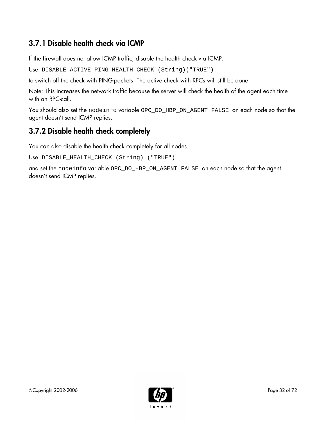### <span id="page-31-1"></span><span id="page-31-0"></span>**3.7.1 Disable health check via ICMP**

If the firewall does not allow ICMP traffic, disable the health check via ICMP.

Use: DISABLE\_ACTIVE\_PING\_HEALTH\_CHECK (String)("TRUE")

to switch off the check with PING-packets. The active check with RPCs will still be done.

Note: This increases the network traffic because the server will check the health of the agent each time with an RPC-call.

You should also set the nodeinfo variable OPC\_DO\_HBP\_ON\_AGENT FALSE on each node so that the agent doesn't send ICMP replies.

## **3.7.2 Disable health check completely**

You can also disable the health check completely for all nodes.

Use: DISABLE\_HEALTH\_CHECK (String) ("TRUE")

and set the nodeinfo variable OPC\_DO\_HBP\_ON\_AGENT FALSE on each node so that the agent doesn't send ICMP replies.

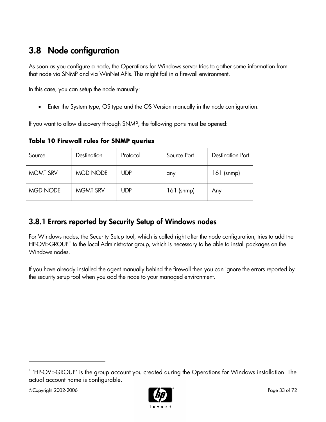## <span id="page-32-0"></span>**3.8 Node configuration**

As soon as you configure a node, the Operations for Windows server tries to gather some information from that node via SNMP and via WinNet APIs. This might fail in a firewall environment.

In this case, you can setup the node manually:

• Enter the System type, OS type and the OS Version manually in the node configuration.

If you want to allow discovery through SNMP, the following ports must be opened:

**Table 10 Firewall rules for SNMP queries** 

| Source          | <b>Destination</b> | Protocol   | Source Port  | <b>Destination Port</b> |
|-----------------|--------------------|------------|--------------|-------------------------|
| <b>MGMT SRV</b> | <b>MGD NODE</b>    | <b>UDP</b> | any          | $161$ (snmp)            |
| <b>MGD NODE</b> | <b>MGMT SRV</b>    | UDP        | $161$ (snmp) | Any                     |

## **3.8.1 Errors reported by Security Setup of Windows nodes**

For Windows nodes, the Security Setup tool, which is called right after the node configuration, tries to add the HP-OVE-GROUP[\\*](#page-32-1) to the local Administrator group, which is necessary to be able to install packages on the Windows nodes.

If you have already installed the agent manually behind the firewall then you can ignore the errors reported by the security setup tool when you add the node to your managed environment.



<span id="page-32-1"></span><sup>\*</sup> 'HP-OVE-GROUP' is the group account you created during the Operations for Windows installation. The actual account name is configurable.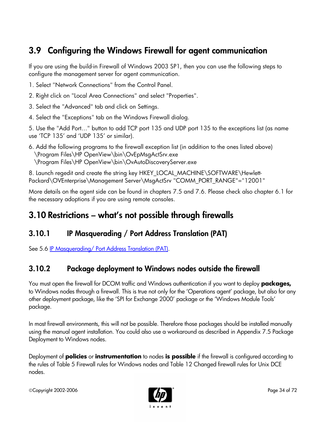## <span id="page-33-1"></span><span id="page-33-0"></span>**3.9 Configuring the Windows Firewall for agent communication**

If you are using the build-in Firewall of Windows 2003 SP1, then you can use the following steps to configure the management server for agent communication.

- 1. Select "Network Connections" from the Control Panel.
- 2. Right click on "Local Area Connections" and select "Properties".
- 3. Select the "Advanced" tab and click on Settings.
- 4. Select the "Exceptions" tab on the Windows Firewall dialog.

5. Use the "Add Port…" button to add TCP port 135 and UDP port 135 to the exceptions list (as name use 'TCP 135' and 'UDP 135' or similar).

6. Add the following programs to the firewall exception list (in addition to the ones listed above) \Program Files\HP OpenView\bin\OvEpMsgActSrv.exe \Program Files\HP OpenView\bin\OvAutoDiscoveryServer.exe

8. Launch regedit and create the string key HKEY\_LOCAL\_MACHINE\SOFTWARE\Hewlett-Packard\OVEnterprise\Management Server\MsgActSrv "COMM\_PORT\_RANGE"="12001"

More details on the agent side can be found in chapters [7.5](#page-65-1) and [7.6](#page-68-1). Please check also chapter [6.1](#page-47-1) for the necessary adoptions if you are using remote consoles.

## <span id="page-33-2"></span>**3.10 Restrictions – what's not possible through firewalls**

#### **3.10.1 IP Masquerading / Port Address Translation (PAT)**

See [5.6](#page-46-1) [IP Masquerading/ Port Address Translation \(PAT\).](#page-46-0)

### **3.10.2 Package deployment to Windows nodes outside the firewall**

You must open the firewall for DCOM traffic and Windows authentication if you want to deploy **packages,**  to Windows nodes through a firewall. This is true not only for the 'Operations agent' package, but also for any other deployment package, like the 'SPI for Exchange 2000' package or the 'Windows Module Tools' package.

In most firewall environments, this will not be possible. Therefore those packages should be installed manually using the manual agent installation. You could also use a workaround as described in Appendix [7.5](#page-65-1) [Package](#page-65-1)  [Deployment to Windows nodes.](#page-65-1)

Deployment of **policies** or **instrumentation** to nodes **is possible** if the firewall is configured according to the rules of [Table 5 Firewall rules for Windows nodes](#page-20-1) and [Table 12 Changed firewall rules for Unix DCE](#page-37-1)  [nodes](#page-37-1).

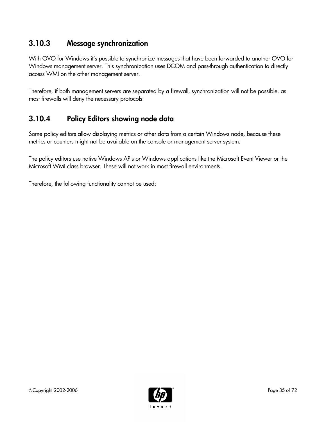### **3.10.3 Message synchronization**

With OVO for Windows it's possible to synchronize messages that have been forwarded to another OVO for Windows management server. This synchronization uses DCOM and pass-through authentication to directly access WMI on the other management server.

Therefore, if both management servers are separated by a firewall, synchronization will not be possible, as most firewalls will deny the necessary protocols.

### **3.10.4 Policy Editors showing node data**

Some policy editors allow displaying metrics or other data from a certain Windows node, because these metrics or counters might not be available on the console or management server system.

The policy editors use native Windows APIs or Windows applications like the Microsoft Event Viewer or the Microsoft WMI class browser. These will not work in most firewall environments.

Therefore, the following functionality cannot be used:

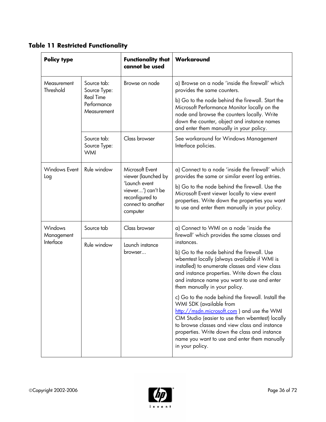| <b>Policy type</b>          |                                                                                              | <b>Functionality that</b><br>cannot be used                                                                                       | Workaround                                                                                                                                                                                                                                                                                                                                                                                                                                                                                                                                                                                                                                           |  |
|-----------------------------|----------------------------------------------------------------------------------------------|-----------------------------------------------------------------------------------------------------------------------------------|------------------------------------------------------------------------------------------------------------------------------------------------------------------------------------------------------------------------------------------------------------------------------------------------------------------------------------------------------------------------------------------------------------------------------------------------------------------------------------------------------------------------------------------------------------------------------------------------------------------------------------------------------|--|
| Measurement<br>Threshold    | Source tab:<br>Source Type:<br><b>Real Time</b><br>Performance<br>Measurement<br>Source tab: | Browse on node<br>Class browser                                                                                                   | a) Browse on a node 'inside the firewall' which<br>provides the same counters.<br>b) Go to the node behind the firewall. Start the<br>Microsoft Performance Monitor locally on the<br>node and browse the counters locally. Write<br>down the counter, object and instance names<br>and enter them manually in your policy.<br>See workaround for Windows Management                                                                                                                                                                                                                                                                                 |  |
|                             | Source Type:<br><b>WMI</b>                                                                   |                                                                                                                                   | Interface policies.                                                                                                                                                                                                                                                                                                                                                                                                                                                                                                                                                                                                                                  |  |
| <b>Windows Event</b><br>Log | Rule window                                                                                  | Microsoft Event<br>viewer (launched by<br>'Launch event<br>viewer') can't be<br>reconfigured to<br>connect to another<br>computer | a) Connect to a node 'inside the firewall' which<br>provides the same or similar event log entries.<br>b) Go to the node behind the firewall. Use the<br>Microsoft Event viewer locally to view event<br>properties. Write down the properties you want<br>to use and enter them manually in your policy.                                                                                                                                                                                                                                                                                                                                            |  |
| Windows                     | Source tab                                                                                   | Class browser                                                                                                                     | a) Connect to WMI on a node 'inside the<br>firewall' which provides the same classes and                                                                                                                                                                                                                                                                                                                                                                                                                                                                                                                                                             |  |
| Interface                   | Management<br>Rule window<br>Launch instance<br>browser                                      |                                                                                                                                   | instances.<br>b) Go to the node behind the firewall. Use<br>wbemtest locally (always available if WMI is<br>installed) to enumerate classes and view class<br>and instance properties. Write down the class<br>and instance name you want to use and enter<br>them manually in your policy.<br>c) Go to the node behind the firewall. Install the<br>WMI SDK (available from<br>http://msdn.microsoft.com ) and use the WMI<br>CIM Studio (easier to use then wbemtest) locally<br>to browse classes and view class and instance<br>properties. Write down the class and instance<br>name you want to use and enter them manually<br>in your policy. |  |

### <span id="page-35-0"></span>**Table 11 Restricted Functionality**

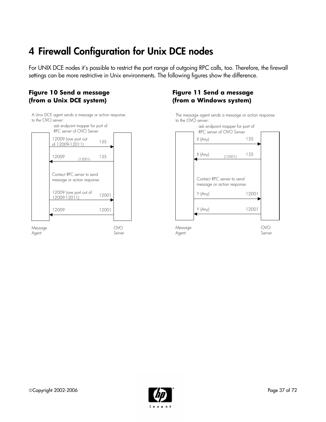# **4 Firewall Configuration for Unix DCE nodes**

For UNIX DCE nodes it's possible to restrict the port range of outgoing RPC calls, too. Therefore, the firewall settings can be more restrictive in Unix environments. The following figures show the difference.

#### **Figure 10 Send a message (from a Unix DCE system)**

A Unix DCE agent sends a message or action response to the OVO server:



Agent

Server

#### **Figure 11 Send a message (from a Windows system)**

The message agent sends a message or action response to the OVO server:



Message Agent

OVO Server

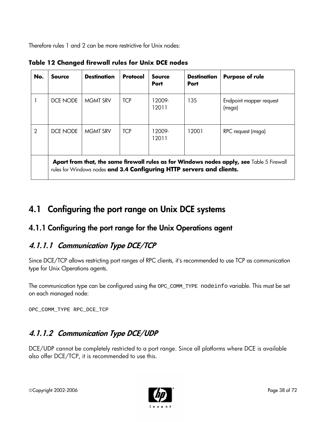<span id="page-37-0"></span>Therefore rules 1 and 2 can be more restrictive for Unix nodes:

| No.           | Source                                                                                                                                                             | <b>Destination</b> | Protocol   | <b>Source</b><br>Port | <b>Destination</b><br>Port | <b>Purpose of rule</b>            |
|---------------|--------------------------------------------------------------------------------------------------------------------------------------------------------------------|--------------------|------------|-----------------------|----------------------------|-----------------------------------|
|               | DCE NODE                                                                                                                                                           | <b>MGMT SRV</b>    | <b>TCP</b> | 12009-<br>12011       | 135                        | Endpoint mapper request<br>(msga) |
| $\mathcal{D}$ | DCE NODE                                                                                                                                                           | <b>MGMT SRV</b>    | <b>TCP</b> | 12009-<br>12011       | 12001                      | RPC request (msga)                |
|               | Apart from that, the same firewall rules as for Windows nodes apply, see Table 5 Firewall<br>rules for Windows nodes and 3.4 Configuring HTTP servers and clients. |                    |            |                       |                            |                                   |

**Table 12 Changed firewall rules for Unix DCE nodes** 

## **4.1 Configuring the port range on Unix DCE systems**

### **4.1.1 Configuring the port range for the Unix Operations agent**

### **4.1.1.1 Communication Type DCE/TCP**

Since DCE/TCP allows restricting port ranges of RPC clients, it's recommended to use TCP as communication type for Unix Operations agents.

The communication type can be configured using the OPC\_COMM\_TYPE nodeinfo variable. This must be set on each managed node:

OPC\_COMM\_TYPE RPC\_DCE\_TCP

### **4.1.1.2 Communication Type DCE/UDP**

DCE/UDP cannot be completely restricted to a port range. Since all platforms where DCE is available also offer DCE/TCP, it is recommended to use this.

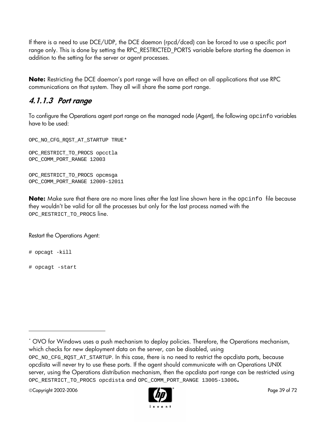If there is a need to use DCE/UDP, the DCE daemon (rpcd/dced) can be forced to use a specific port range only. This is done by setting the RPC\_RESTRICTED\_PORTS variable before starting the daemon in addition to the setting for the server or agent processes.

**Note:** Restricting the DCE daemon's port range will have an effect on all applications that use RPC communications on that system. They all will share the same port range.

### **4.1.1.3 Port range**

To configure the Operations agent port range on the managed node (Agent), the following opcinfo variables have to be used:

```
OPC_NO_CFG_RQST_AT_STARTUP TRUE*
OPC_RESTRICT_TO_PROCS opcctla 
OPC_COMM_PORT_RANGE 12003 
OPC_RESTRICT_TO_PROCS opcmsga 
OPC_COMM_PORT_RANGE 12009-12011
```
**Note:** Make sure that there are no more lines after the last line shown here in the opcinfo file because they wouldn't be valid for all the processes but only for the last process named with the OPC\_RESTRICT\_TO\_PROCS line.

Restart the Operations Agent:

# opcagt -kill

# opcagt -start



<span id="page-38-0"></span><sup>\*</sup> OVO for Windows uses a push mechanism to deploy policies. Therefore, the Operations mechanism, which checks for new deployment data on the server, can be disabled, using

OPC\_NO\_CFG\_RQST\_AT\_STARTUP. In this case, there is no need to restrict the opcdista ports, because opcdista will never try to use these ports. If the agent should communicate with an Operations UNIX server, using the Operations distribution mechanism, then the opcdista port range can be restricted using OPC\_RESTRICT\_TO\_PROCS opcdista and OPC\_COMM\_PORT\_RANGE 13005-13006**.**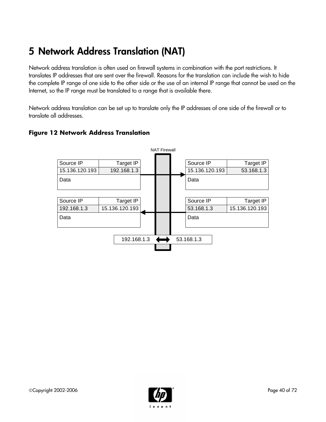# **5 Network Address Translation (NAT)**

Network address translation is often used on firewall systems in combination with the port restrictions. It translates IP addresses that are sent over the firewall. Reasons for the translation can include the wish to hide the complete IP range of one side to the other side or the use of an internal IP range that cannot be used on the Internet, so the IP range must be translated to a range that is available there.

Network address translation can be set up to translate only the IP addresses of one side of the firewall or to translate all addresses.

#### **Figure 12 Network Address Translation**



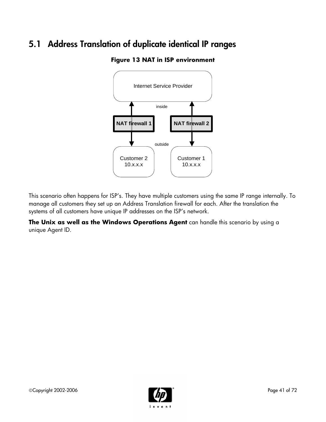## **5.1 Address Translation of duplicate identical IP ranges**



#### **Figure 13 NAT in ISP environment**

This scenario often happens for ISP's. They have multiple customers using the same IP range internally. To manage all customers they set up an Address Translation firewall for each. After the translation the systems of all customers have unique IP addresses on the ISP's network.

**The Unix as well as the Windows Operations Agent** can handle this scenario by using a unique Agent ID.

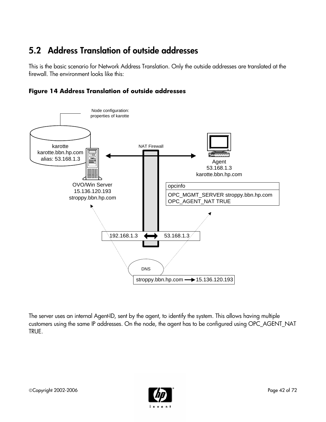## **5.2 Address Translation of outside addresses**

This is the basic scenario for Network Address Translation. Only the outside addresses are translated at the firewall. The environment looks like this:





The server uses an internal Agent-ID, sent by the agent, to identify the system. This allows having multiple customers using the same IP addresses. On the node, the agent has to be configured using OPC\_AGENT\_NAT TRUE.

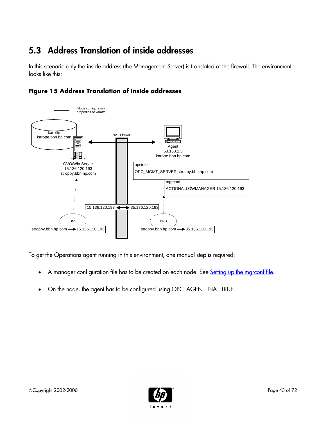## **5.3 Address Translation of inside addresses**

In this scenario only the inside address (the Management Server) is translated at the firewall. The environment looks like this:





To get the Operations agent running in this environment, one manual step is required:

- A manager configuration file has to be created on each node. See [Setting up the mgrconf file.](#page-43-0)
- On the node, the agent has to be configured using OPC\_AGENT\_NAT TRUE.

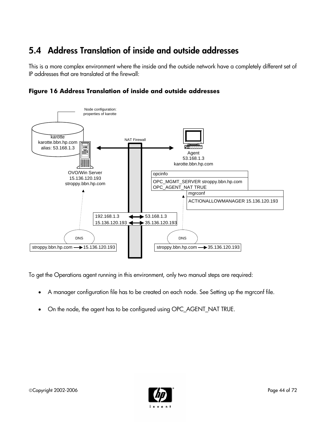## <span id="page-43-0"></span>**5.4 Address Translation of inside and outside addresses**

This is a more complex environment where the inside and the outside network have a completely different set of IP addresses that are translated at the firewall:



**Figure 16 Address Translation of inside and outside addresses** 

To get the Operations agent running in this environment, only two manual steps are required:

- A manager configuration file has to be created on each node. See Setting up the mgrconf file.
- On the node, the agent has to be configured using OPC\_AGENT\_NAT TRUE.

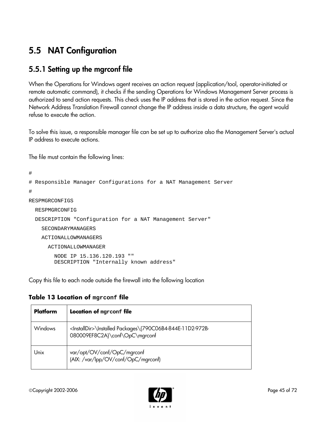## **5.5 NAT Configuration**

### **5.5.1 Setting up the mgrconf file**

When the Operations for Windows agent receives an action request (application/tool, operator-initiated or remote automatic command), it checks if the sending Operations for Windows Management Server process is authorized to send action requests. This check uses the IP address that is stored in the action request. Since the Network Address Translation Firewall cannot change the IP address inside a data structure, the agent would refuse to execute the action.

To solve this issue, a responsible manager file can be set up to authorize also the Management Server's actual IP address to execute actions.

The file must contain the following lines:

```
# 
# Responsible Manager Configurations for a NAT Management Server 
# 
RESPMGRCONFIGS 
   RESPMGRCONFIG 
   DESCRIPTION "Configuration for a NAT Management Server" 
     SECONDARYMANAGERS 
     ACTIONALLOWMANAGERS 
       ACTIONALLOWMANAGER 
         NODE IP 15.136.120.193 "" 
         DESCRIPTION "Internally known address"
```
Copy this file to each node outside the firewall into the following location

#### **Table 13 Location of mgrconf file**

| Platform | Location of mgrconf file                                                                                  |  |  |
|----------|-----------------------------------------------------------------------------------------------------------|--|--|
| Windows  | <installdir>\Installed Packages\{790C06B4-844E-11D2-972B-<br/>080009EF8C2A}\conf\OpC\mqrconf</installdir> |  |  |
| Jnix     | var/opt/OV/conf/OpC/mgrconf<br>(AIX: /var/lpp/OV/conf/OpC/mqrconf)                                        |  |  |

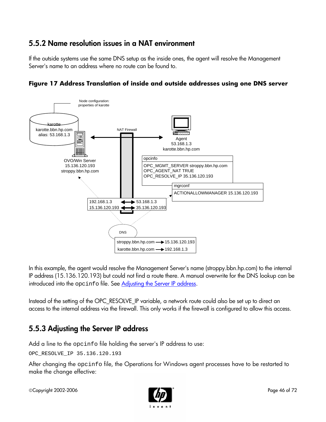### <span id="page-45-0"></span>**5.5.2 Name resolution issues in a NAT environment**

If the outside systems use the same DNS setup as the inside ones, the agent will resolve the Management Server's name to an address where no route can be found to.





In this example, the agent would resolve the Management Server's name (stroppy.bbn.hp.com) to the internal IP address (15.136.120.193) but could not find a route there. A manual overwrite for the DNS lookup can be introduced into the opcinfo file. See [Adjusting the Server IP address](#page-45-0).

Instead of the setting of the OPC\_RESOLVE\_IP variable, a network route could also be set up to direct an access to the internal address via the firewall. This only works if the firewall is configured to allow this access.

### **5.5.3 Adjusting the Server IP address**

Add a line to the opcinfo file holding the server's IP address to use:

OPC\_RESOLVE\_IP 35.136.120.193

After changing the opcinfo file, the Operations for Windows agent processes have to be restarted to make the change effective:

©Copyright 2002-2006 Page 46 of 72

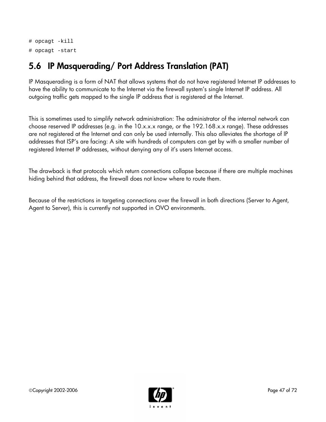# opcagt -kill # opcagt -start

## **5.6 IP Masquerading/ Port Address Translation (PAT)**

IP Masquerading is a form of NAT that allows systems that do not have registered Internet IP addresses to have the ability to communicate to the Internet via the firewall system's single Internet IP address. All outgoing traffic gets mapped to the single IP address that is registered at the Internet.

This is sometimes used to simplify network administration: The administrator of the internal network can choose reserved IP addresses (e.g. in the 10.x.x.x range, or the 192.168.x.x range). These addresses are not registered at the Internet and can only be used internally. This also alleviates the shortage of IP addresses that ISP's are facing: A site with hundreds of computers can get by with a smaller number of registered Internet IP addresses, without denying any of it's users Internet access.

The drawback is that protocols which return connections collapse because if there are multiple machines hiding behind that address, the firewall does not know where to route them.

Because of the restrictions in targeting connections over the firewall in both directions (Server to Agent, Agent to Server), this is currently not supported in OVO environments.

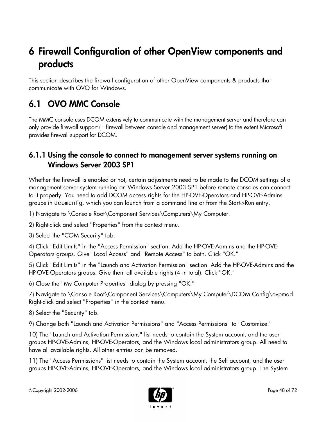# **6 Firewall Configuration of other OpenView components and products**

This section describes the firewall configuration of other OpenView components & products that communicate with OVO for Windows.

## <span id="page-47-0"></span>**6.1 OVO MMC Console**

The MMC console uses DCOM extensively to communicate with the management server and therefore can only provide firewall support (= firewall between console and management server) to the extent Microsoft provides firewall support for DCOM.

### **6.1.1 Using the console to connect to management server systems running on Windows Server 2003 SP1**

Whether the firewall is enabled or not, certain adjustments need to be made to the DCOM settings of a management server system running on Windows Server 2003 SP1 before remote consoles can connect to it properly. You need to add DCOM access rights for the HP-OVE-Operators and HP-OVE-Admins groups in dcomcnfg, which you can launch from a command line or from the Start->Run entry.

1) Navigate to \Console Root\Component Services\Computers\My Computer.

2) Right-click and select "Properties" from the context menu.

3) Select the "COM Security" tab.

4) Click "Edit Limits" in the "Access Permission" section. Add the HP-OVE-Admins and the HP-OVE-Operators groups. Give "Local Access" and "Remote Access" to both. Click "OK."

5) Click "Edit Limits" in the "Launch and Activation Permission" section. Add the HP-OVE-Admins and the HP-OVE-Operators groups. Give them all available rights (4 in total). Click "OK."

6) Close the "My Computer Properties" dialog by pressing "OK."

7) Navigate to \Console Root\Component Services\Computers\My Computer\DCOM Config\ovpmad. Right-click and select "Properties" in the context menu.

8) Select the "Security" tab.

9) Change both "Launch and Activation Permissions" and "Access Permissions" to "Customize."

10) The "Launch and Activation Permissions" list needs to contain the System account, and the user groups HP-OVE-Admins, HP-OVE-Operators, and the Windows local administrators group. All need to have all available rights. All other entries can be removed.

11) The "Access Permissions" list needs to contain the System account, the Self account, and the user groups HP-OVE-Admins, HP-OVE-Operators, and the Windows local administrators group. The System

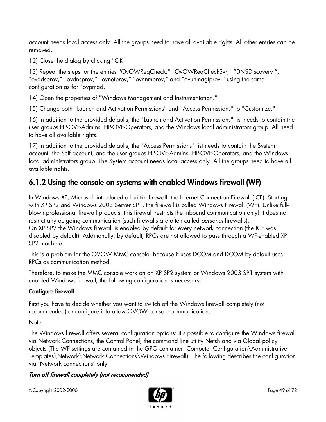account needs local access only. All the groups need to have all available rights. All other entries can be removed.

12) Close the dialog by clicking "OK."

13) Repeat the steps for the entries "OvOWReqCheck," "OvOWReqCheckSvr," "DNSDiscovery ", "ovadsprov," "ovdnsprov," "ovnetprov," "ovnnmprov," and "ovunmagtprov," using the same configuration as for "ovpmad."

14) Open the properties of "Windows Management and Instrumentation."

15) Change both "Launch and Activation Permissions" and "Access Permissions" to "Customize."

16) In addition to the provided defaults, the "Launch and Activation Permissions" list needs to contain the user groups HP-OVE-Admins, HP-OVE-Operators, and the Windows local administrators group. All need to have all available rights.

17) In addition to the provided defaults, the "Access Permissions" list needs to contain the System account, the Self account, and the user groups HP-OVE-Admins, HP-OVE-Operators, and the Windows local administrators group. The System account needs local access only. All the groups need to have all available rights.

### **6.1.2 Using the console on systems with enabled Windows firewall (WF)**

In Windows XP, Microsoft introduced a built-in firewall: the Internet Connection Firewall (ICF). Starting with XP SP2 and Windows 2003 Server SP1, the firewall is called Windows Firewall (WF). Unlike fullblown professional firewall products, this firewall restricts the inbound communication only! It does not restrict any outgoing communication (such firewalls are often called *personal* firewalls). On XP SP2 the Windows firewall is enabled by default for every network connection (the ICF was disabled by default). Additionally, by default, RPCs are not allowed to pass through a WF-enabled XP SP2 machine.

This is a problem for the OVOW MMC console, because it uses DCOM and DCOM by default uses RPCs as communication method.

Therefore, to make the MMC console work on an XP SP2 system or Windows 2003 SP1 system with enabled Windows firewall, the following configuration is necessary:

#### **Configure firewall**

First you have to decide whether you want to switch off the Windows firewall completely (not recommended) or configure it to allow OVOW console communication.

#### Note:

The Windows firewall offers several configuration options: it's possible to configure the Windows firewall via Network Connections, the Control Panel, the command line utility Netsh and via Global policy objects (The WF settings are contained in the GPO container: Computer Configuration\Administrative Templates\Network\Network Connections\Windows Firewall). The following describes the configuration via 'Network connections' only.

#### **Turn off firewall completely (not recommended)**

©Copyright 2002-2006 Page 49 of 72

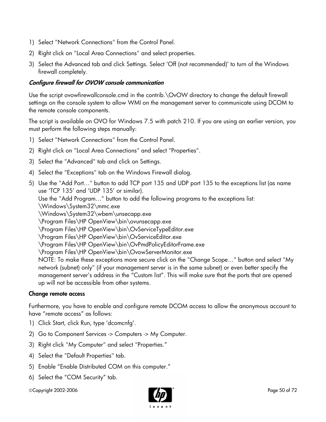- 1) Select "Network Connections" from the Control Panel.
- 2) Right click on "Local Area Connections" and select properties.
- 3) Select the Advanced tab and click Settings. Select 'Off (not recommended)' to turn of the Windows firewall completely.

#### **Configure firewall for OVOW console communication**

Use the script ovowfirewallconsole.cmd in the contrib.\OvOW directory to change the default firewall settings on the console system to allow WMI on the management server to communicate using DCOM to the remote console components.

The script is available on OVO for Windows 7.5 with patch 210. If you are using an earlier version, you must perform the following steps manually:

- 1) Select "Network Connections" from the Control Panel.
- 2) Right click on "Local Area Connections" and select "Properties".
- 3) Select the "Advanced" tab and click on Settings.
- 4) Select the "Exceptions" tab on the Windows Firewall dialog.
- 5) Use the "Add Port…" button to add TCP port 135 and UDP port 135 to the exceptions list (as name use 'TCP 135' and 'UDP 135' or similar).

Use the "Add Program…" button to add the following programs to the exceptions list:

\Windows\System32\mmc.exe

\Windows\System32\wbem\unsecapp.exe

\Program Files\HP OpenView\bin\ovunsecapp.exe

\Program Files\HP OpenView\bin\OvServiceTypeEditor.exe

\Program Files\HP OpenView\bin\OvServiceEditor.exe

\Program Files\HP OpenView\bin\OvPmdPolicyEditorFrame.exe

\Program Files\HP OpenView\bin\OvowServerMonitor.exe

NOTE: To make these exceptions more secure click on the "Change Scope…" button and select "My network (subnet) only" (if your management server is in the same subnet) or even better specify the management server's address in the "Custom list". This will make sure that the ports that are opened up will not be accessible from other systems.

#### **Change remote access**

Furthermore, you have to enable and configure remote DCOM access to allow the anonymous account to have "remote access" as follows:

- 1) Click Start, click Run, type 'dcomcnfg'.
- 2) Go to Component Services -> Computers -> My Computer.
- 3) Right click "My Computer" and select "Properties."
- 4) Select the "Default Properties" tab.
- 5) Enable "Enable Distributed COM on this computer."
- 6) Select the "COM Security" tab.

©Copyright 2002-2006 Page 50 of 72

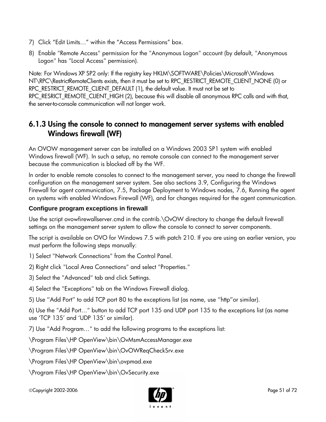- 7) Click "Edit Limits…" within the "Access Permissions" box.
- 8) Enable "Remote Access" permission for the "Anonymous Logon" account (by default, "Anonymous Logon" has "Local Access" permission).

Note: For Windows XP SP2 only: If the registry key HKLM\SOFTWARE\Policies\Microsoft\Windows NT\RPC\RestrictRemoteClients exists, then it must be set to RPC\_RESTRICT\_REMOTE\_CLIENT\_NONE (0) or RPC\_RESTRICT\_REMOTE\_CLIENT\_DEFAULT (1), the default value. It must not be set to RPC\_RESRICT\_REMOTE\_CLIENT\_HIGH (2), because this will disable all anonymous RPC calls and with that, the server-to-console communication will not longer work.

### **6.1.3 Using the console to connect to management server systems with enabled Windows firewall (WF)**

An OVOW management server can be installed on a Windows 2003 SP1 system with enabled Windows firewall (WF). In such a setup, no remote console can connect to the management server because the communication is blocked off by the WF.

In order to enable remote consoles to connect to the management server, you need to change the firewall configuration on the management server system. See also sections [3.9,](#page-33-0) Configuring the Windows Firewall for agent communication, [7.5,](#page-65-0) Package Deployment to Windows nodes, [7.6,](#page-68-0) Running the agent on systems with enabled Windows Firewall (WF), and for changes required for the agent communication.

#### **Configure program exceptions in firewall**

Use the script ovowfirewallserver.cmd in the contrib.\OvOW directory to change the default firewall settings on the management server system to allow the console to connect to server components.

The script is available on OVO for Windows 7.5 with patch 210. If you are using an earlier version, you must perform the following steps manually:

- 1) Select "Network Connections" from the Control Panel.
- 2) Right click "Local Area Connections" and select "Properties."
- 3) Select the "Advanced" tab and click Settings.
- 4) Select the "Exceptions" tab on the Windows Firewall dialog.
- 5) Use ''Add Port'' to add TCP port 80 to the exceptions list (as name, use ''http''or similar).

6) Use the "Add Port…" button to add TCP port 135 and UDP port 135 to the exceptions list (as name use 'TCP 135' and 'UDP 135' or similar).

7) Use "Add Program…" to add the following programs to the exceptions list:

\Program Files\HP OpenView\bin\OvMsmAccessManager.exe

\Program Files\HP OpenView\bin\OvOWReqCheckSrv.exe

\Program Files\HP OpenView\bin\ovpmad.exe

\Program Files\HP OpenView\bin\OvSecurity.exe

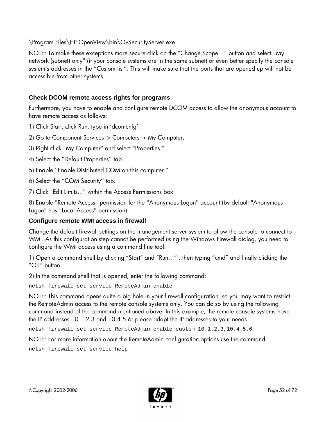\Program Files\HP OpenView\bin\OvSecurityServer.exe

NOTE: To make these exceptions more secure click on the "Change Scope…" button and select "My network (subnet) only" (if your console systems are in the same subnet) or even better specify the console system's addresses in the ''Custom list''. This will make sure that the ports that are opened up will not be accessible from other systems.

#### **Check DCOM remote access rights for programs**

Furthermore, you have to enable and configure remote DCOM access to allow the anonymous account to have remote access as follows:

- 1) Click Start, click Run, type in 'dcomcnfg'.
- 2) Go to Component Services -> Computers -> My Computer.
- 3) Right click "My Computer" and select "Properties."
- 4) Select the "Default Properties'' tab.
- 5) Enable ''Enable Distributed COM on this computer.''
- 6) Select the ''COM Security'' tab.
- 7) Click "Edit Limits..." within the Access Permissions box.

8) Enable "Remote Access" permission for the "Anonymous Logon" account (by default "Anonymous Logon" has "Local Access" permission).

#### **Configure remote WMI access in firewall**

Change the default firewall settings on the management server system to allow the console to connect to WMI. As this configuration step cannot be performed using the Windows Firewall dialog, you need to configure the WMI access using a command line tool:

1) Open a command shell by clicking "Start" and "Run…" , then typing "cmd" and finally clicking the "OK" button.

2) In the command shell that is opened, enter the following command:

netsh firewall set service RemoteAdmin enable

NOTE: This command opens quite a big hole in your firewall configuration, so you may want to restrict the RemoteAdmin access to the remote console systems only. You can do so by using the following command instead of the command mentioned above. In this example, the remote console systems have the IP addresses 10.1.2.3 and 10.4.5.6; please adapt the IP addresses to your needs.

netsh firewall set service RemoteAdmin enable custom 10.1.2.3,10.4.5.6

NOTE: For more information about the RemoteAdmin configuration options use the command

netsh firewall set service help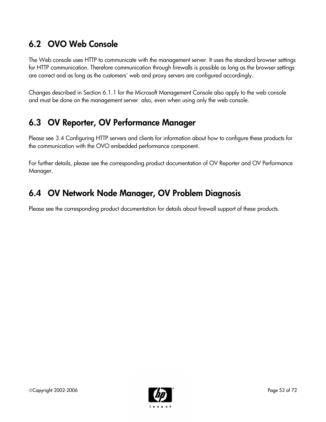## **6.2 OVO Web Console**

The Web console uses HTTP to communicate with the management server. It uses the standard browser settings for HTTP communication. Therefore communication through firewalls is possible as long as the browser settings are correct and as long as the customers' web and proxy servers are configured accordingly.

Changes described in Section 6.1.1 for the Microsoft Management Console also apply to the web console and must be done on the management server also, even when using only the web console.

## **6.3 OV Reporter, OV Performance Manager**

Please see [3.4](#page-23-0) [Configuring HTTP servers and clients](#page-23-0) for information about how to configure these products for the communication with the OVO embedded performance component.

For further details, please see the corresponding product documentation of OV Reporter and OV Performance Manager.

## **6.4 OV Network Node Manager, OV Problem Diagnosis**

Please see the corresponding product documentation for details about firewall support of these products.

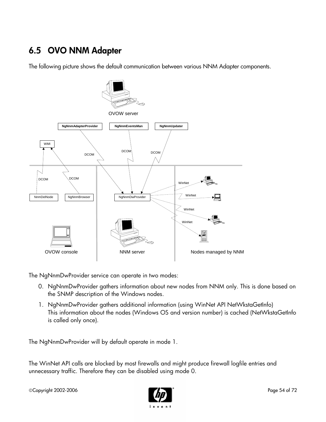## **6.5 OVO NNM Adapter**

The following picture shows the default communication between various NNM Adapter components.



The NgNnmDwProvider service can operate in two modes:

- 0. NgNnmDwProvider gathers information about new nodes from NNM only. This is done based on the SNMP description of the Windows nodes.
- 1. NgNnmDwProvider gathers additional information (using WinNet API NetWkstaGetInfo) This information about the nodes (Windows OS and version number) is cached (NetWkstaGetInfo is called only once).

The NgNnmDwProvider will by default operate in mode 1.

The WinNet API calls are blocked by most firewalls and might produce firewall logfile entries and unnecessary traffic. Therefore they can be disabled using mode 0.

©Copyright 2002-2006 Page 54 of 72

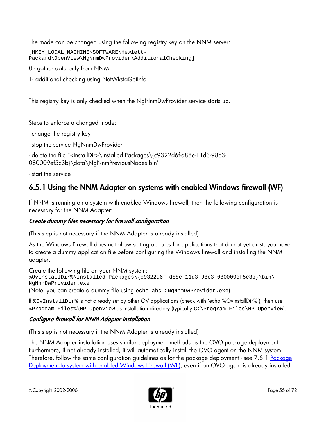The mode can be changed using the following registry key on the NNM server:

[HKEY\_LOCAL\_MACHINE\SOFTWARE\Hewlett-Packard\OpenView\NgNnmDwProvider\AdditionalChecking]

0 - gather data only from NNM

1- additional checking using NetWkstaGetInfo

This registry key is only checked when the NgNnmDwProvider service starts up.

Steps to enforce a changed mode:

- change the registry key

- stop the service NgNnmDwProvider

- delete the file "<InstallDir>\Installed Packages\{c9322d6f-d88c-11d3-98e3- 080009ef5c3b}\data\NgNnmPreviousNodes.bin"

- start the service

### **6.5.1 Using the NNM Adapter on systems with enabled Windows firewall (WF)**

If NNM is running on a system with enabled Windows firewall, then the following configuration is necessary for the NNM Adapter:

#### **Create dummy files necessary for firewall configuration**

(This step is not necessary if the NNM Adapter is already installed)

As the Windows Firewall does not allow setting up rules for applications that do not yet exist, you have to create a dummy application file before configuring the Windows firewall and installing the NNM adapter.

Create the following file on your NNM system: %OvInstallDir%\Installed Packages\{c9322d6f-d88c-11d3-98e3-080009ef5c3b}\bin\ NgNnmDwProvider.exe

(Note: you can create a dummy file using echo abc >NgNnmDwProvider.exe)

If %OvInstallDir% is not already set by other OV applications (check with 'echo %OvInstallDir%'), then use %Program Files%\HP OpenView as installation directory (typically C:\Program Files\HP OpenView).

#### **Configure firewall for NNM Adapter installation**

(This step is not necessary if the NNM Adapter is already installed)

The NNM Adapter installation uses similar deployment methods as the OVO package deployment. Furthermore, if not already installed, it will automatically install the OVO agent on the NNM system. Therefore, follow the same configuration guidelines as for the package deployment - see [7.5.1](#page-66-1) [Package](#page-66-0)  [Deployment to system with enabled Windows Firewall \(WF\)](#page-66-0), even if an OVO agent is already installed

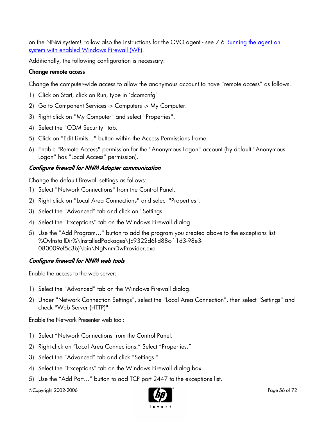on the NNM system! Follow also the instructions for the OVO agent - see [7.6](#page-68-0) Running the agent on system with [enabled Windows Firewall \(WF\)](#page-68-1).

Additionally, the following configuration is necessary:

#### **Change remote access**

Change the computer-wide access to allow the anonymous account to have "remote access" as follows.

- 1) Click on Start, click on Run, type in 'dcomcnfg'.
- 2) Go to Component Services -> Computers -> My Computer.
- 3) Right click on "My Computer" and select "Properties".
- 4) Select the "COM Security" tab.
- 5) Click on "Edit Limits..." button within the Access Permissions frame.
- 6) Enable "Remote Access" permission for the "Anonymous Logon" account (by default "Anonymous Logon" has "Local Access" permission).

#### **Configure firewall for NNM Adapter communication**

Change the default firewall settings as follows:

- 1) Select "Network Connections" from the Control Panel.
- 2) Right click on "Local Area Connections" and select "Properties".
- 3) Select the "Advanced" tab and click on "Settings".
- 4) Select the "Exceptions" tab on the Windows Firewall dialog.
- 5) Use the "Add Program…" button to add the program you created above to the exceptions list: %OvInstallDir%\InstalledPackages\{c9322d6f-d88c-11d3-98e3- 080009ef5c3b}\bin\NgNnmDwProvider.exe

#### **Configure firewall for NNM web tools**

Enable the access to the web server:

- 1) Select the "Advanced" tab on the Windows Firewall dialog.
- 2) Under "Network Connection Settings", select the "Local Area Connection", then select "Settings" and check "Web Server (HTTP)"

Enable the Network Presenter web tool:

- 1) Select "Network Connections from the Control Panel.
- 2) Right-click on "Local Area Connections." Select "Properties."
- 3) Select the "Advanced" tab and click "Settings."
- 4) Select the "Exceptions" tab on the Windows Firewall dialog box.
- 5) Use the "Add Port…" button to add TCP port 2447 to the exceptions list.

©Copyright 2002-2006 Page 56 of 72

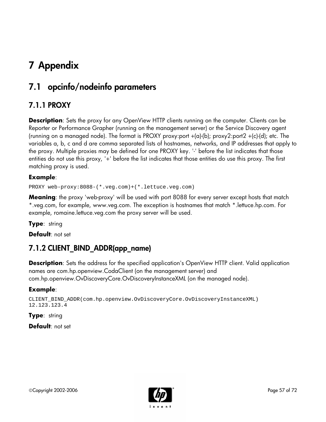# **7 Appendix**

## **7.1 opcinfo/nodeinfo parameters**

### **7.1.1 PROXY**

**Description**: Sets the proxy for any OpenView HTTP clients running on the computer. Clients can be Reporter or Performance Grapher (running on the management server) or the Service Discovery agent (running on a managed node). The format is PROXY proxy:port  $+(a)-(b)$ ; proxy2:port2  $+(c)-(d)$ ; etc. The variables a, b, c and d are comma separated lists of hostnames, networks, and IP addresses that apply to the proxy. Multiple proxies may be defined for one PROXY key. '-' before the list indicates that those entities do not use this proxy, '+' before the list indicates that those entities do use this proxy. The first matching proxy is used.

#### **Example**:

PROXY web-proxy:8088-(\*.veg.com)+(\*.lettuce.veg.com)

**Meaning**: the proxy 'web-proxy' will be used with port 8088 for every server except hosts that match \*.veg.com, for example, www.veg.com. The exception is hostnames that match \*.lettuce.hp.com. For example, romaine.lettuce.veg.com the proxy server will be used.

**Type**: string

**Default**: not set

## **7.1.2 CLIENT\_BIND\_ADDR(app\_name)**

**Description**: Sets the address for the specified application's OpenView HTTP client. Valid application names are com.hp.openview.CodaClient (on the management server) and com.hp.openview.OvDiscoveryCore.OvDiscoveryInstanceXML (on the managed node).

#### **Example**:

CLIENT\_BIND\_ADDR(com.hp.openview.OvDiscoveryCore.OvDiscoveryInstanceXML) 12.123.123.4

#### **Type**: string

**Default**: not set

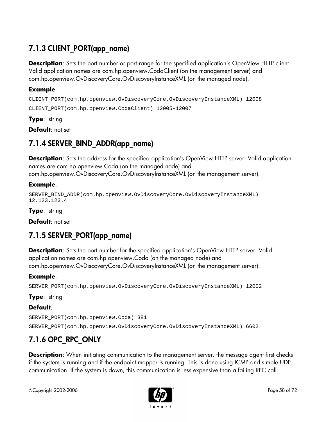### **7.1.3 CLIENT\_PORT(app\_name)**

**Description**: Sets the port number or port range for the specified application's OpenView HTTP client. Valid application names are com.hp.openview.CodaClient (on the management server) and com.hp.openview.OvDiscoveryCore.OvDiscoveryInstanceXML (on the managed node).

#### **Example**:

CLIENT\_PORT(com.hp.openview.OvDiscoveryCore.OvDiscoveryInstanceXML) 12008 CLIENT\_PORT(com.hp.openview.CodaClient) 12005-12007

#### **Type**: string

**Default**: not set

### **7.1.4 SERVER\_BIND\_ADDR(app\_name)**

**Description**: Sets the address for the specified application's OpenView HTTP server. Valid application names are com.hp.openview.Coda (on the managed node) and com.hp.openview.OvDiscoveryCore.OvDiscoveryInstanceXML (on the management server).

#### **Example**:

```
SERVER_BIND_ADDR(com.hp.openview.OvDiscoveryCore.OvDiscoveryInstanceXML) 
12.123.123.4
```
**Type**: string

**Default**: not set

### **7.1.5 SERVER\_PORT(app\_name)**

**Description**: Sets the port number for the specified application's OpenView HTTP server. Valid application names are com.hp.openview.Coda (on the managed node) and com.hp.openview.OvDiscoveryCore.OvDiscoveryInstanceXML (on the management server).

#### **Example**:

SERVER\_PORT(com.hp.openview.OvDiscoveryCore.OvDiscoveryInstanceXML) 12002

#### **Type**: string

#### **Default**:

SERVER PORT(com.hp.openview.Coda) 381

SERVER\_PORT(com.hp.openview.OvDiscoveryCore.OvDiscoveryInstanceXML) 6602

## **7.1.6 OPC\_RPC\_ONLY**

**Description**: When initiating communication to the management server, the message agent first checks if the system is running and if the endpoint mapper is running. This is done using ICMP and simple UDP communication. If the system is down, this communication is less expensive than a failing RPC call.

©Copyright 2002-2006 Page 58 of 72

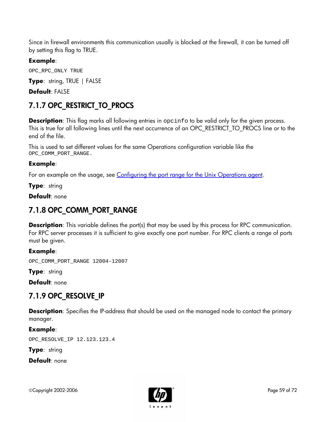Since in firewall environments this communication usually is blocked at the firewall, it can be turned off by setting this flag to TRUE.

#### **Example**:

OPC\_RPC\_ONLY TRUE

**Type**: string, TRUE | FALSE

**Default**: FALSE

### **7.1.7 OPC\_RESTRICT\_TO\_PROCS**

**Description**: This flag marks all following entries in opcinfo to be valid only for the given process. This is true for all following lines until the next occurrence of an OPC\_RESTRICT\_TO\_PROCS line or to the end of the file.

This is used to set different values for the same Operations configuration variable like the OPC COMM PORT RANGE.

#### **Example**:

For an example on the usage, see [Configuring the port range for the Unix Operations agent](#page-37-0).

**Type**: string

**Default**: none

### **7.1.8 OPC\_COMM\_PORT\_RANGE**

**Description**: This variable defines the port(s) that may be used by this process for RPC communication. For RPC server processes it is sufficient to give exactly one port number. For RPC clients a range of ports must be given.

#### **Example**:

OPC\_COMM\_PORT\_RANGE 12004-12007

**Type**: string

**Default**: none

### **7.1.9 OPC\_RESOLVE\_IP**

**Description**: Specifies the IP-address that should be used on the managed node to contact the primary manager.

#### **Example**:

OPC\_RESOLVE\_IP 12.123.123.4

**Type**: string

**Default**: none

©Copyright 2002-2006 Page 59 of 72

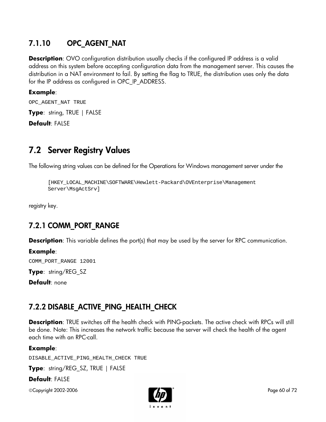### **7.1.10 OPC\_AGENT\_NAT**

**Description**: OVO configuration distribution usually checks if the configured IP address is a valid address on this system before accepting configuration data from the management server. This causes the distribution in a NAT environment to fail. By setting the flag to TRUE, the distribution uses only the data for the IP address as configured in OPC\_IP\_ADDRESS.

#### **Example**:

OPC\_AGENT\_NAT TRUE

**Type**: string, TRUE | FALSE

**Default**: FALSE

## **7.2 Server Registry Values**

The following string values can be defined for the Operations for Windows management server under the

```
[HKEY_LOCAL_MACHINE\SOFTWARE\Hewlett-Packard\OVEnterprise\Management 
Server\MsgActSrv]
```
registry key.

### **7.2.1 COMM\_PORT\_RANGE**

**Description**: This variable defines the port(s) that may be used by the server for RPC communication.

#### **Example**:

COMM\_PORT\_RANGE 12001

**Type**: string/REG\_SZ

**Default**: none

### **7.2.2 DISABLE\_ACTIVE\_PING\_HEALTH\_CHECK**

**Description**: TRUE switches off the health check with PING-packets. The active check with RPCs will still be done. Note: This increases the network traffic because the server will check the health of the agent each time with an RPC-call.

#### **Example**:

DISABLE\_ACTIVE\_PING\_HEALTH\_CHECK TRUE

**Type**: string/REG\_SZ, TRUE | FALSE

**Default**: FALSE

©Copyright 2002-2006 Page 60 of 72

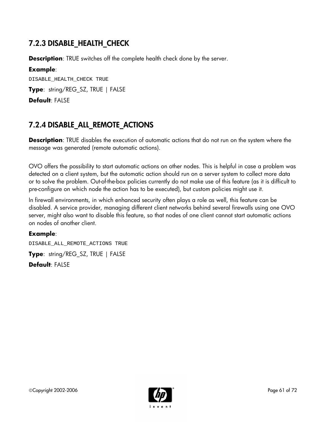### **7.2.3 DISABLE\_HEALTH\_CHECK**

**Description**: TRUE switches off the complete health check done by the server.

#### **Example**:

DISABLE\_HEALTH\_CHECK TRUE **Type**: string/REG SZ, TRUE | FALSE

#### **Default**: FALSE

### **7.2.4 DISABLE\_ALL\_REMOTE\_ACTIONS**

**Description**: TRUE disables the execution of automatic actions that do not run on the system where the message was generated (remote automatic actions).

OVO offers the possibility to start automatic actions on other nodes. This is helpful in case a problem was detected on a client system, but the automatic action should run on a server system to collect more data or to solve the problem. Out-of-the-box policies currently do not make use of this feature (as it is difficult to pre-configure on which node the action has to be executed), but custom policies might use it.

In firewall environments, in which enhanced security often plays a role as well, this feature can be disabled. A service provider, managing different client networks behind several firewalls using one OVO server, might also want to disable this feature, so that nodes of one client cannot start automatic actions on nodes of another client.

#### **Example**:

DISABLE\_ALL\_REMOTE\_ACTIONS TRUE

**Type**: string/REG\_SZ, TRUE | FALSE

**Default**: FALSE

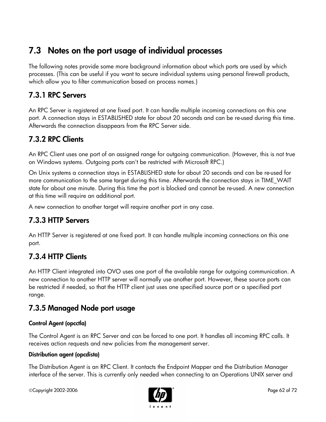## **7.3 Notes on the port usage of individual processes**

The following notes provide some more background information about which ports are used by which processes. (This can be useful if you want to secure individual systems using personal firewall products, which allow you to filter communication based on process names.)

### **7.3.1 RPC Servers**

An RPC Server is registered at one fixed port. It can handle multiple incoming connections on this one port. A connection stays in ESTABLISHED state for about 20 seconds and can be re-used during this time. Afterwards the connection disappears from the RPC Server side.

### **7.3.2 RPC Clients**

An RPC Client uses one port of an assigned range for outgoing communication. (However, this is not true on Windows systems. Outgoing ports can't be restricted with Microsoft RPC.)

On Unix systems a connection stays in ESTABLISHED state for about 20 seconds and can be re-used for more communication to the same target during this time. Afterwards the connection stays in TIME\_WAIT state for about one minute. During this time the port is blocked and cannot be re-used. A new connection at this time will require an additional port.

A new connection to another target will require another port in any case.

### **7.3.3 HTTP Servers**

An HTTP Server is registered at one fixed port. It can handle multiple incoming connections on this one port.

### **7.3.4 HTTP Clients**

An HTTP Client integrated into OVO uses one port of the available range for outgoing communication. A new connection to another HTTP server will normally use another port. However, these source ports can be restricted if needed, so that the HTTP client just uses one specified source port or a specified port range.

### **7.3.5 Managed Node port usage**

#### **Control Agent (opcctla)**

The Control Agent is an RPC Server and can be forced to one port. It handles all incoming RPC calls. It receives action requests and new policies from the management server.

#### **Distribution agent (opcdista)**

The Distribution Agent is an RPC Client. It contacts the Endpoint Mapper and the Distribution Manager interface of the server. This is currently only needed when connecting to an Operations UNIX server and

©Copyright 2002-2006 Page 62 of 72

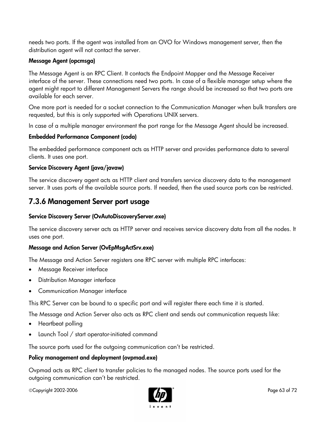needs two ports. If the agent was installed from an OVO for Windows management server, then the distribution agent will not contact the server.

#### **Message Agent (opcmsga)**

The Message Agent is an RPC Client. It contacts the Endpoint Mapper and the Message Receiver interface of the server. These connections need two ports. In case of a flexible manager setup where the agent might report to different Management Servers the range should be increased so that two ports are available for each server.

One more port is needed for a socket connection to the Communication Manager when bulk transfers are requested, but this is only supported with Operations UNIX servers.

In case of a multiple manager environment the port range for the Message Agent should be increased.

#### **Embedded Performance Component (coda)**

The embedded performance component acts as HTTP server and provides performance data to several clients. It uses one port.

#### **Service Discovery Agent (java/javaw)**

The service discovery agent acts as HTTP client and transfers service discovery data to the management server. It uses ports of the available source ports. If needed, then the used source ports can be restricted.

#### **7.3.6 Management Server port usage**

#### **Service Discovery Server (OvAutoDiscoveryServer.exe)**

The service discovery server acts as HTTP server and receives service discovery data from all the nodes. It uses one port.

#### **Message and Action Server (OvEpMsgActSrv.exe)**

The Message and Action Server registers one RPC server with multiple RPC interfaces:

- Message Receiver interface
- Distribution Manager interface
- Communication Manager interface

This RPC Server can be bound to a specific port and will register there each time it is started.

The Message and Action Server also acts as RPC client and sends out communication requests like:

- Heartbeat polling
- Launch Tool / start operator-initiated command

The source ports used for the outgoing communication can't be restricted.

#### **Policy management and deployment (ovpmad.exe)**

Ovpmad acts as RPC client to transfer policies to the managed nodes. The source ports used for the outgoing communication can't be restricted.

©Copyright 2002-2006 Page 63 of 72

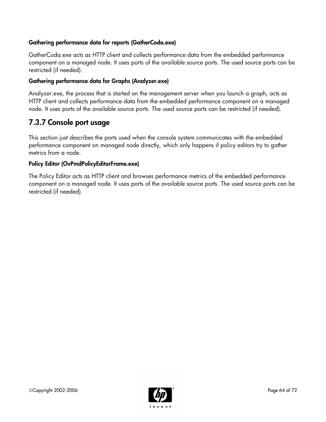#### **Gathering performance data for reports (GatherCoda.exe)**

GatherCoda.exe acts as HTTP client and collects performance data from the embedded performance component on a managed node. It uses ports of the available source ports. The used source ports can be restricted (if needed).

#### **Gathering performance data for Graphs (Analyzer.exe)**

Analyzer.exe, the process that is started on the management server when you launch a graph, acts as HTTP client and collects performance data from the embedded performance component on a managed node. It uses ports of the available source ports. The used source ports can be restricted (if needed).

### **7.3.7 Console port usage**

This section just describes the ports used when the console system communicates with the embedded performance component on managed node directly, which only happens if policy editors try to gather metrics from a node.

#### **Policy Editor (OvPmdPolicyEditorFrame.exe)**

The Policy Editor acts as HTTP client and browses performance metrics of the embedded performance component on a managed node. It uses ports of the available source ports. The used source ports can be restricted (if needed).

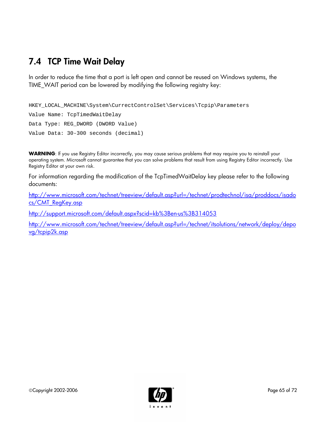## **7.4 TCP Time Wait Delay**

In order to reduce the time that a port is left open and cannot be reused on Windows systems, the TIME\_WAIT period can be lowered by modifying the following registry key:

HKEY\_LOCAL\_MACHINE\System\CurrectControlSet\Services\Tcpip\Parameters Value Name: TcpTimedWaitDelay Data Type: REG\_DWORD (DWORD Value) Value Data: 30-300 seconds (decimal)

**WARNING**: If you use Registry Editor incorrectly, you may cause serious problems that may require you to reinstall your operating system. Microsoft cannot guarantee that you can solve problems that result from using Registry Editor incorrectly. Use Registry Editor at your own risk.

For information regarding the modification of the TcpTimedWaitDelay key please refer to the following documents:

[http://www.microsoft.com/technet/treeview/default.asp?url=/technet/prodtechnol/isa/proddocs/isado](http://www.microsoft.com/technet/treeview/default.asp?url=/technet/prodtechnol/isa/proddocs/isadocs/CMT_RegKey.asp) [cs/CMT\\_RegKey.asp](http://www.microsoft.com/technet/treeview/default.asp?url=/technet/prodtechnol/isa/proddocs/isadocs/CMT_RegKey.asp)

<http://support.microsoft.com/default.aspx?scid=kb%3Ben-us%3B314053>

[http://www.microsoft.com/technet/treeview/default.asp?url=/technet/itsolutions/network/deploy/depo](http://www.microsoft.com/technet/treeview/default.asp?url=/technet/itsolutions/network/deploy/depovg/tcpip2k.asp) [vg/tcpip2k.asp](http://www.microsoft.com/technet/treeview/default.asp?url=/technet/itsolutions/network/deploy/depovg/tcpip2k.asp)

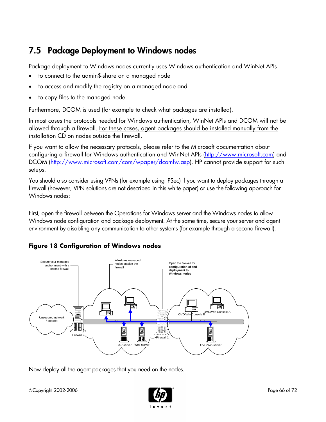## <span id="page-65-0"></span>**7.5 Package Deployment to Windows nodes**

Package deployment to Windows nodes currently uses Windows authentication and WinNet APIs

- to connect to the admin\$-share on a managed node
- to access and modify the registry on a managed node and
- to copy files to the managed node.

Furthermore, DCOM is used (for example to check what packages are installed).

In most cases the protocols needed for Windows authentication, WinNet APIs and DCOM will not be allowed through a firewall. For these cases, agent packages should be installed manually from the installation CD on nodes outside the firewall.

If you want to allow the necessary protocols, please refer to the Microsoft documentation about configuring a firewall for Windows authentication and WinNet APIs [\(http://www.microsoft.com\)](http://www.microsoft.com/) and DCOM [\(http://www.microsoft.com/com/wpaper/dcomfw.asp\)](http://www.microsoft.com/com/wpaper/dcomfw.asp). HP cannot provide support for such setups.

You should also consider using VPNs (for example using IPSec) if you want to deploy packages through a firewall (however, VPN solutions are not described in this white paper) or use the following approach for Windows nodes:

First, open the firewall between the Operations for Windows server and the Windows nodes to allow Windows node configuration and package deployment. At the same time, secure your server and agent environment by disabling any communication to other systems (for example through a second firewall).

### **Figure 18 Configuration of Windows nodes**



Now deploy all the agent packages that you need on the nodes.

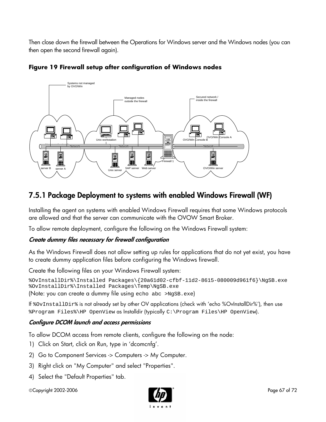<span id="page-66-0"></span>Then close down the firewall between the Operations for Windows server and the Windows nodes (you can then open the second firewall again).



#### **Figure 19 Firewall setup after configuration of Windows nodes**

### <span id="page-66-1"></span>**7.5.1 Package Deployment to systems with enabled Windows Firewall (WF)**

Installing the agent on systems with enabled Windows Firewall requires that some Windows protocols are allowed and that the server can communicate with the OVOW Smart Broker.

To allow remote deployment, configure the following on the Windows Firewall system:

#### **Create dummy files necessary for firewall configuration**

As the Windows Firewall does not allow setting up rules for applications that do not yet exist, you have to create dummy application files before configuring the Windows firewall.

Create the following files on your Windows Firewall system:

%OvInstallDir%\Installed Packages\{20a61d02-cfbf-11d2-8615-080009d961f6}\NgSB.exe %OvInstallDir%\Installed Packages\Temp\NgSB.exe (Note: you can create a dummy file using echo abc >NgSB.exe)

If %OvInstallDir% is not already set by other OV applications (check with 'echo %OvInstallDir%'), then use %Program Files%\HP OpenView as Installdir (typically C:\Program Files\HP OpenView).

#### **Configure DCOM launch and access permissions**

To allow DCOM access from remote clients, configure the following on the node:

- 1) Click on Start, click on Run, type in 'dcomcnfg'.
- 2) Go to Component Services -> Computers -> My Computer.
- 3) Right click on "My Computer" and select "Properties".
- 4) Select the "Default Properties" tab.

©Copyright 2002-2006 Page 67 of 72

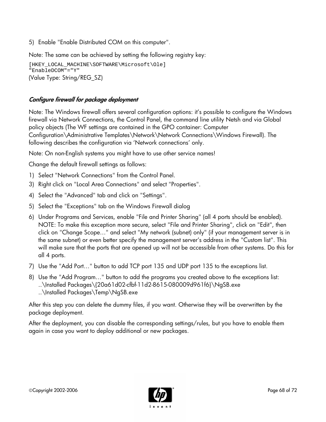5) Enable "Enable Distributed COM on this computer".

Note: The same can be achieved by setting the following registry key:

[HKEY\_LOCAL\_MACHINE\SOFTWARE\Microsoft\Ole] "EnableDCOM"="Y" (Value Type: String/REG\_SZ)

#### **Configure firewall for package deployment**

Note: The Windows firewall offers several configuration options: it's possible to configure the Windows firewall via Network Connections, the Control Panel, the command line utility Netsh and via Global policy objects (The WF settings are contained in the GPO container: Computer Configuration\Administrative Templates\Network\Network Connections\Windows Firewall). The following describes the configuration via 'Network connections' only.

Note: On non-English systems you might have to use other service names!

Change the default firewall settings as follows:

- 1) Select "Network Connections" from the Control Panel.
- 3) Right click on "Local Area Connections" and select "Properties".
- 4) Select the "Advanced" tab and click on "Settings".
- 5) Select the "Exceptions" tab on the Windows Firewall dialog
- 6) Under Programs and Services, enable "File and Printer Sharing" (all 4 ports should be enabled). NOTE: To make this exception more secure, select "File and Printer Sharing", click on "Edit", then click on "Change Scope…" and select "My network (subnet) only" (if your management server is in the same subnet) or even better specify the management server's address in the "Custom list". This will make sure that the ports that are opened up will not be accessible from other systems. Do this for all 4 ports.
- 7) Use the "Add Port…" button to add TCP port 135 and UDP port 135 to the exceptions list.
- 8) Use the "Add Program…" button to add the programs you created above to the exceptions list: ..\Installed Packages\{20a61d02-cfbf-11d2-8615-080009d961f6}\NgSB.exe ..\Installed Packages\Temp\NgSB.exe

After this step you can delete the dummy files, if you want. Otherwise they will be overwritten by the package deployment.

After the deployment, you can disable the corresponding settings/rules, but you have to enable them again in case you want to deploy additional or new packages.

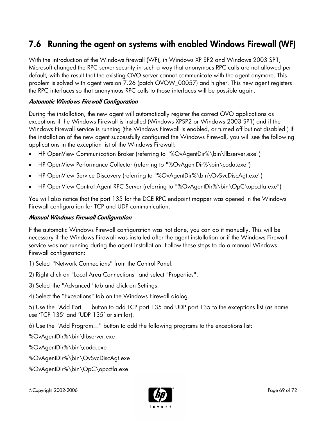## <span id="page-68-1"></span><span id="page-68-0"></span>**7.6 Running the agent on systems with enabled Windows Firewall (WF)**

With the introduction of the Windows firewall (WF), in Windows XP SP2 and Windows 2003 SP1, Microsoft changed the RPC server security in such a way that anonymous RPC calls are not allowed per default, with the result that the existing OVO server cannot communicate with the agent anymore. This problem is solved with agent version 7.26 (patch OVOW\_00057) and higher. This new agent registers the RPC interfaces so that anonymous RPC calls to those interfaces will be possible again.

#### **Automatic Windows Firewall Configuration**

During the installation, the new agent will automatically register the correct OVO applications as exceptions if the Windows Firewall is installed (Windows XPSP2 or Windows 2003 SP1) and if the Windows Firewall service is running (the Windows Firewall is enabled, or turned off but not disabled.) If the installation of the new agent successfully configured the Windows Firewall, you will see the following applications in the exception list of the Windows Firewall:

- HP OpenView Communication Broker (referring to "%OvAgentDir%\bin\llbserver.exe")
- HP OpenView Performance Collector (referring to "%OvAgentDir%\bin\coda.exe")
- HP OpenView Service Discovery (referring to "%OvAgentDir%\bin\OvSvcDiscAgt.exe")
- HP OpenView Control Agent RPC Server (referring to "%OvAgentDir%\bin\OpC\opcctla.exe")

You will also notice that the port 135 for the DCE RPC endpoint mapper was opened in the Windows Firewall configuration for TCP and UDP communication.

#### **Manual Windows Firewall Configuration**

If the automatic Windows Firewall configuration was not done, you can do it manually. This will be necessary if the Windows Firewall was installed after the agent installation or if the Windows Firewall service was not running during the agent installation. Follow these steps to do a manual Windows Firewall configuration:

- 1) Select "Network Connections" from the Control Panel.
- 2) Right click on "Local Area Connections" and select "Properties".
- 3) Select the "Advanced" tab and click on Settings.
- 4) Select the "Exceptions" tab on the Windows Firewall dialog.

5) Use the "Add Port…" button to add TCP port 135 and UDP port 135 to the exceptions list (as name use 'TCP 135' and 'UDP 135' or similar).

6) Use the "Add Program…" button to add the following programs to the exceptions list:

%OvAgentDir%\bin\llbserver.exe

%OvAgentDir%\bin\coda.exe

- %OvAgentDir%\bin\OvSvcDiscAgt.exe
- %OvAgentDir%\bin\OpC\opcctla.exe

©Copyright 2002-2006 Page 69 of 72

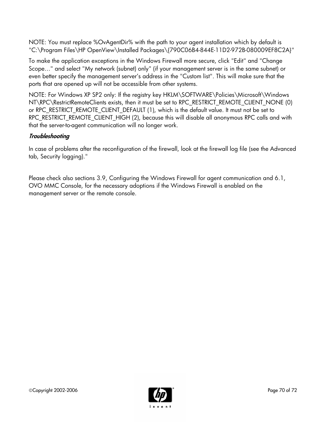NOTE: You must replace %OvAgentDir% with the path to your agent installation which by default is "C:\Program Files\HP OpenView\Installed Packages\{790C06B4-844E-11D2-972B-080009EF8C2A}"

To make the application exceptions in the Windows Firewall more secure, click "Edit" and "Change Scope…" and select "My network (subnet) only" (if your management server is in the same subnet) or even better specify the management server's address in the "Custom list". This will make sure that the ports that are opened up will not be accessible from other systems.

NOTE: For Windows XP SP2 only: If the registry key HKLM\SOFTWARE\Policies\Microsoft\Windows NT\RPC\RestrictRemoteClients exists, then it must be set to RPC\_RESTRICT\_REMOTE\_CLIENT\_NONE (0) or RPC\_RESTRICT\_REMOTE\_CLIENT\_DEFAULT (1), which is the default value. It must not be set to RPC\_RESTRICT\_REMOTE\_CLIENT\_HIGH (2), because this will disable all anonymous RPC calls and with that the server-to-agent communication will no longer work.

#### **Troubleshooting**

In case of problems after the reconfiguration of the firewall, look at the firewall log file (see the Advanced tab, Security logging)."

Please check also sections [3.9](#page-33-0), Configuring the Windows Firewall for agent communication and [6.1](#page-47-0), OVO MMC Console, for the necessary adoptions if the Windows Firewall is enabled on the management server or the remote console.

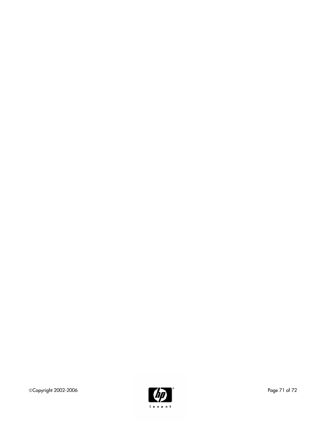